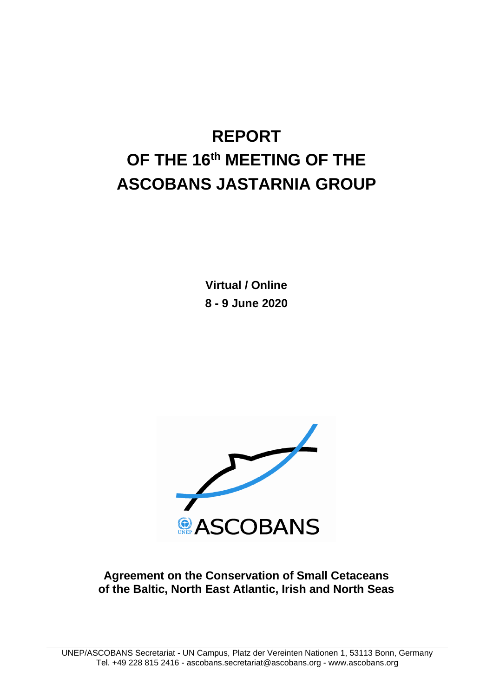# **REPORT OF THE 16 th MEETING OF THE ASCOBANS JASTARNIA GROUP**

**Virtual / Online 8 - 9 June 2020**



**Agreement on the Conservation of Small Cetaceans of the Baltic, North East Atlantic, Irish and North Seas**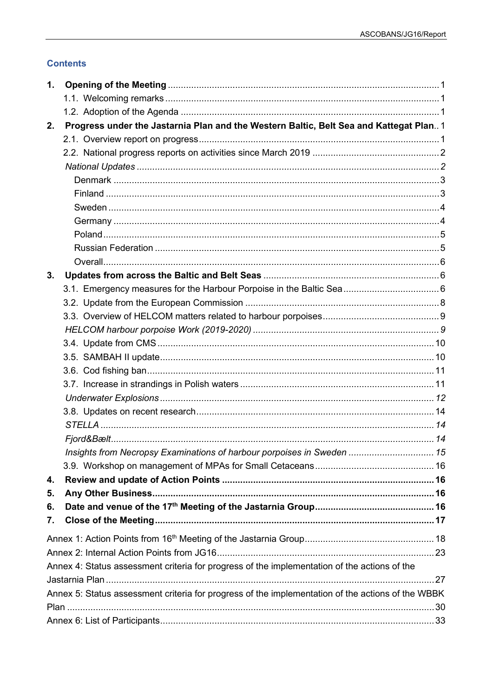# **Contents**

| 1. |                                                                                                   |  |
|----|---------------------------------------------------------------------------------------------------|--|
|    |                                                                                                   |  |
|    |                                                                                                   |  |
| 2. | Progress under the Jastarnia Plan and the Western Baltic, Belt Sea and Kattegat Plan 1            |  |
|    |                                                                                                   |  |
|    |                                                                                                   |  |
|    |                                                                                                   |  |
|    |                                                                                                   |  |
|    |                                                                                                   |  |
|    |                                                                                                   |  |
|    |                                                                                                   |  |
|    |                                                                                                   |  |
|    |                                                                                                   |  |
|    |                                                                                                   |  |
| 3. |                                                                                                   |  |
|    |                                                                                                   |  |
|    |                                                                                                   |  |
|    |                                                                                                   |  |
|    |                                                                                                   |  |
|    |                                                                                                   |  |
|    |                                                                                                   |  |
|    |                                                                                                   |  |
|    |                                                                                                   |  |
|    |                                                                                                   |  |
|    |                                                                                                   |  |
|    |                                                                                                   |  |
|    |                                                                                                   |  |
|    | Insights from Necropsy Examinations of harbour porpoises in Sweden  15                            |  |
|    |                                                                                                   |  |
| 4. |                                                                                                   |  |
| 5. |                                                                                                   |  |
| 6. |                                                                                                   |  |
| 7. |                                                                                                   |  |
|    |                                                                                                   |  |
|    |                                                                                                   |  |
|    | Annex 4: Status assessment criteria for progress of the implementation of the actions of the      |  |
|    |                                                                                                   |  |
|    | Annex 5: Status assessment criteria for progress of the implementation of the actions of the WBBK |  |
|    |                                                                                                   |  |
|    |                                                                                                   |  |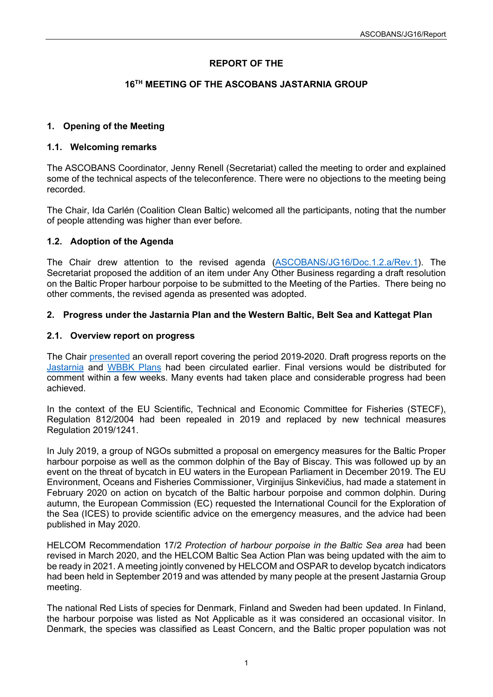# **REPORT OF THE**

# **16TH MEETING OF THE ASCOBANS JASTARNIA GROUP**

# <span id="page-2-0"></span>**1. Opening of the Meeting**

#### <span id="page-2-1"></span>**1.1. Welcoming remarks**

The ASCOBANS Coordinator, Jenny Renell (Secretariat) called the meeting to order and explained some of the technical aspects of the teleconference. There were no objections to the meeting being recorded.

The Chair, Ida Carlén (Coalition Clean Baltic) welcomed all the participants, noting that the number of people attending was higher than ever before.

#### <span id="page-2-2"></span>**1.2. Adoption of the Agenda**

The Chair drew attention to the revised agenda [\(ASCOBANS/JG16/Doc.1.2.a/Rev.1\)](https://www.ascobans.org/sites/default/files/document/ascobans_jg16_doc1.2a_rev1_prov-agenda.pdf). The Secretariat proposed the addition of an item under Any Other Business regarding a draft resolution on the Baltic Proper harbour porpoise to be submitted to the Meeting of the Parties. There being no other comments, the revised agenda as presented was adopted.

# <span id="page-2-3"></span>**2. Progress under the Jastarnia Plan and the Western Baltic, Belt Sea and Kattegat Plan**

#### <span id="page-2-4"></span>**2.1. Overview report on progress**

The Chair [presented](https://www.ascobans.org/en/document/overview-report-progress-2019-2020-under-jastarnia-and-wbbk-action-plans) an overall report covering the period 2019-2020. Draft progress reports on the [Jastarnia](https://www.ascobans.org/en/document/draft-progress-report-jastarnia-plan) and [WBBK Plans](https://www.ascobans.org/en/document/draft-progress-report-conservation-plan-harbour-porpoise-population-western-baltic-belt-sea) had been circulated earlier. Final versions would be distributed for comment within a few weeks. Many events had taken place and considerable progress had been achieved.

In the context of the EU Scientific, Technical and Economic Committee for Fisheries (STECF), Regulation 812/2004 had been repealed in 2019 and replaced by new technical measures Regulation 2019/1241.

In July 2019, a group of NGOs submitted a proposal on emergency measures for the Baltic Proper harbour porpoise as well as the common dolphin of the Bay of Biscay. This was followed up by an event on the threat of bycatch in EU waters in the European Parliament in December 2019. The EU Environment, Oceans and Fisheries Commissioner, Virginijus Sinkevičius, had made a statement in February 2020 on action on bycatch of the Baltic harbour porpoise and common dolphin. During autumn, the European Commission (EC) requested the International Council for the Exploration of the Sea (ICES) to provide scientific advice on the emergency measures, and the advice had been published in May 2020.

HELCOM Recommendation 17/2 *Protection of harbour porpoise in the Baltic Sea area* had been revised in March 2020, and the HELCOM Baltic Sea Action Plan was being updated with the aim to be ready in 2021. A meeting jointly convened by HELCOM and OSPAR to develop bycatch indicators had been held in September 2019 and was attended by many people at the present Jastarnia Group meeting.

The national Red Lists of species for Denmark, Finland and Sweden had been updated. In Finland, the harbour porpoise was listed as Not Applicable as it was considered an occasional visitor. In Denmark, the species was classified as Least Concern, and the Baltic proper population was not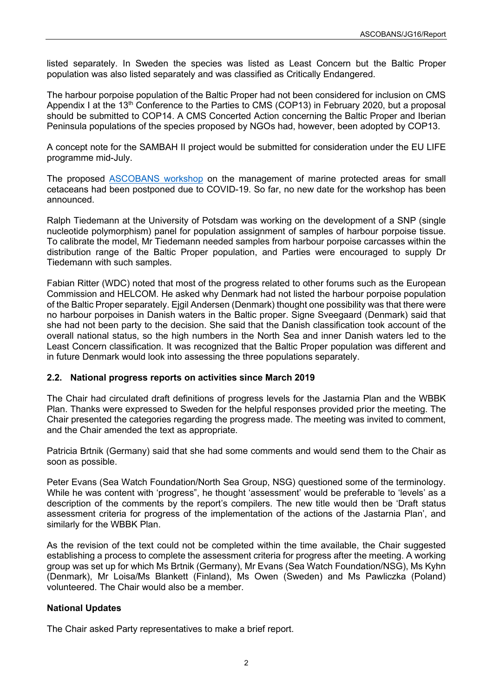listed separately. In Sweden the species was listed as Least Concern but the Baltic Proper population was also listed separately and was classified as Critically Endangered.

The harbour porpoise population of the Baltic Proper had not been considered for inclusion on CMS Appendix I at the 13<sup>th</sup> Conference to the Parties to CMS (COP13) in February 2020, but a proposal should be submitted to COP14. A CMS Concerted Action concerning the Baltic Proper and Iberian Peninsula populations of the species proposed by NGOs had, however, been adopted by COP13.

A concept note for the SAMBAH II project would be submitted for consideration under the EU LIFE programme mid-July.

The proposed [ASCOBANS workshop](https://www.ascobans.org/en/meeting/ascobans-workshop-management-mpas-small-cetaceans) on the management of marine protected areas for small cetaceans had been postponed due to COVID-19. So far, no new date for the workshop has been announced.

Ralph Tiedemann at the University of Potsdam was working on the development of a SNP (single nucleotide polymorphism) panel for population assignment of samples of harbour porpoise tissue. To calibrate the model, Mr Tiedemann needed samples from harbour porpoise carcasses within the distribution range of the Baltic Proper population, and Parties were encouraged to supply Dr Tiedemann with such samples.

Fabian Ritter (WDC) noted that most of the progress related to other forums such as the European Commission and HELCOM. He asked why Denmark had not listed the harbour porpoise population of the Baltic Proper separately. Ejgil Andersen (Denmark) thought one possibility was that there were no harbour porpoises in Danish waters in the Baltic proper. Signe Sveegaard (Denmark) said that she had not been party to the decision. She said that the Danish classification took account of the overall national status, so the high numbers in the North Sea and inner Danish waters led to the Least Concern classification. It was recognized that the Baltic Proper population was different and in future Denmark would look into assessing the three populations separately.

# <span id="page-3-0"></span>**2.2. National progress reports on activities since March 2019**

The Chair had circulated draft definitions of progress levels for the Jastarnia Plan and the WBBK Plan. Thanks were expressed to Sweden for the helpful responses provided prior the meeting. The Chair presented the categories regarding the progress made. The meeting was invited to comment, and the Chair amended the text as appropriate.

Patricia Brtnik (Germany) said that she had some comments and would send them to the Chair as soon as possible.

Peter Evans (Sea Watch Foundation/North Sea Group, NSG) questioned some of the terminology. While he was content with 'progress", he thought 'assessment' would be preferable to 'levels' as a description of the comments by the report's compilers. The new title would then be 'Draft status assessment criteria for progress of the implementation of the actions of the Jastarnia Plan', and similarly for the WBBK Plan.

As the revision of the text could not be completed within the time available, the Chair suggested establishing a process to complete the assessment criteria for progress after the meeting. A working group was set up for which Ms Brtnik (Germany), Mr Evans (Sea Watch Foundation/NSG), Ms Kyhn (Denmark), Mr Loisa/Ms Blankett (Finland), Ms Owen (Sweden) and Ms Pawliczka (Poland) volunteered. The Chair would also be a member.

# <span id="page-3-1"></span>**National Updates**

The Chair asked Party representatives to make a brief report.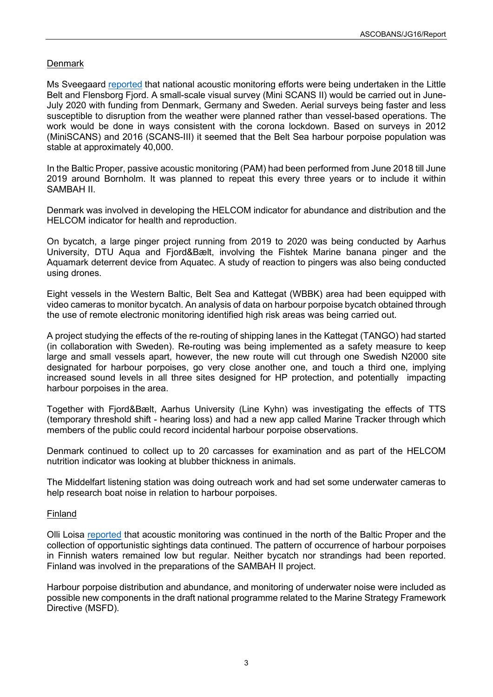# <span id="page-4-0"></span>**Denmark**

Ms Sveegaard [reported](https://www.ascobans.org/en/document/national-progress-report-denmark) that national acoustic monitoring efforts were being undertaken in the Little Belt and Flensborg Fjord. A small-scale visual survey (Mini SCANS II) would be carried out in June-July 2020 with funding from Denmark, Germany and Sweden. Aerial surveys being faster and less susceptible to disruption from the weather were planned rather than vessel-based operations. The work would be done in ways consistent with the corona lockdown. Based on surveys in 2012 (MiniSCANS) and 2016 (SCANS-III) it seemed that the Belt Sea harbour porpoise population was stable at approximately 40,000.

In the Baltic Proper, passive acoustic monitoring (PAM) had been performed from June 2018 till June 2019 around Bornholm. It was planned to repeat this every three years or to include it within SAMBAH II.

Denmark was involved in developing the HELCOM indicator for abundance and distribution and the HELCOM indicator for health and reproduction.

On bycatch, a large pinger project running from 2019 to 2020 was being conducted by Aarhus University, DTU Aqua and Fjord&Bælt, involving the Fishtek Marine banana pinger and the Aquamark deterrent device from Aquatec. A study of reaction to pingers was also being conducted using drones.

Eight vessels in the Western Baltic, Belt Sea and Kattegat (WBBK) area had been equipped with video cameras to monitor bycatch. An analysis of data on harbour porpoise bycatch obtained through the use of remote electronic monitoring identified high risk areas was being carried out.

A project studying the effects of the re-routing of shipping lanes in the Kattegat (TANGO) had started (in collaboration with Sweden). Re-routing was being implemented as a safety measure to keep large and small vessels apart, however, the new route will cut through one Swedish N2000 site designated for harbour porpoises, go very close another one, and touch a third one, implying increased sound levels in all three sites designed for HP protection, and potentially impacting harbour porpoises in the area.

Together with Fjord&Bælt, Aarhus University (Line Kyhn) was investigating the effects of TTS (temporary threshold shift - hearing loss) and had a new app called Marine Tracker through which members of the public could record incidental harbour porpoise observations.

Denmark continued to collect up to 20 carcasses for examination and as part of the HELCOM nutrition indicator was looking at blubber thickness in animals.

The Middelfart listening station was doing outreach work and had set some underwater cameras to help research boat noise in relation to harbour porpoises.

# <span id="page-4-1"></span>Finland

Olli Loisa [reported](https://www.ascobans.org/en/document/national-progress-report-finland) that acoustic monitoring was continued in the north of the Baltic Proper and the collection of opportunistic sightings data continued. The pattern of occurrence of harbour porpoises in Finnish waters remained low but regular. Neither bycatch nor strandings had been reported. Finland was involved in the preparations of the SAMBAH II project.

<span id="page-4-2"></span>Harbour porpoise distribution and abundance, and monitoring of underwater noise were included as possible new components in the draft national programme related to the Marine Strategy Framework Directive (MSFD).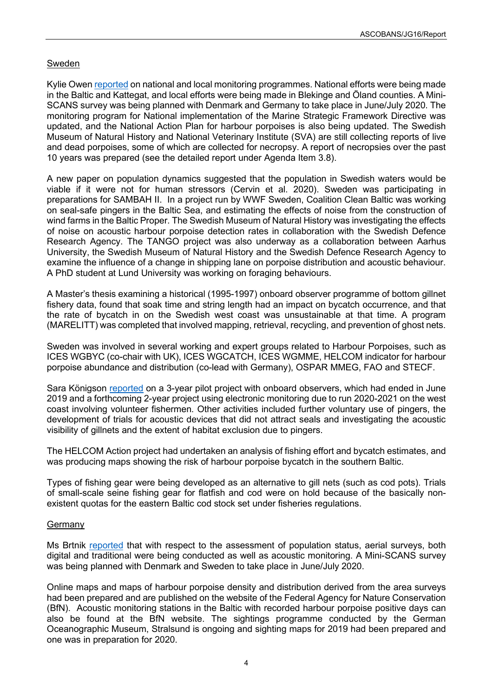# Sweden

Kylie Owen [reported](https://www.ascobans.org/en/document/national-progress-report-sweden) on national and local monitoring programmes. National efforts were being made in the Baltic and Kattegat, and local efforts were being made in Blekinge and Öland counties. A Mini-SCANS survey was being planned with Denmark and Germany to take place in June/July 2020. The monitoring program for National implementation of the Marine Strategic Framework Directive was updated, and the National Action Plan for harbour porpoises is also being updated. The Swedish Museum of Natural History and National Veterinary Institute (SVA) are still collecting reports of live and dead porpoises, some of which are collected for necropsy. A report of necropsies over the past 10 years was prepared (see the detailed report under Agenda Item 3.8).

A new paper on population dynamics suggested that the population in Swedish waters would be viable if it were not for human stressors (Cervin et al. 2020). Sweden was participating in preparations for SAMBAH II. In a project run by WWF Sweden, Coalition Clean Baltic was working on seal-safe pingers in the Baltic Sea, and estimating the effects of noise from the construction of wind farms in the Baltic Proper. The Swedish Museum of Natural History was investigating the effects of noise on acoustic harbour porpoise detection rates in collaboration with the Swedish Defence Research Agency. The TANGO project was also underway as a collaboration between Aarhus University, the Swedish Museum of Natural History and the Swedish Defence Research Agency to examine the influence of a change in shipping lane on porpoise distribution and acoustic behaviour. A PhD student at Lund University was working on foraging behaviours.

A Master's thesis examining a historical (1995-1997) onboard observer programme of bottom gillnet fishery data, found that soak time and string length had an impact on bycatch occurrence, and that the rate of bycatch in on the Swedish west coast was unsustainable at that time. A program (MARELITT) was completed that involved mapping, retrieval, recycling, and prevention of ghost nets.

Sweden was involved in several working and expert groups related to Harbour Porpoises, such as ICES WGBYC (co-chair with UK), ICES WGCATCH, ICES WGMME, HELCOM indicator for harbour porpoise abundance and distribution (co-lead with Germany), OSPAR MMEG, FAO and STECF.

Sara Königson [reported](https://www.ascobans.org/en/document/monitoring-bycatch-protected-species-sweden) on a 3-year pilot project with onboard observers, which had ended in June 2019 and a forthcoming 2-year project using electronic monitoring due to run 2020-2021 on the west coast involving volunteer fishermen. Other activities included further voluntary use of pingers, the development of trials for acoustic devices that did not attract seals and investigating the acoustic visibility of gillnets and the extent of habitat exclusion due to pingers.

The HELCOM Action project had undertaken an analysis of fishing effort and bycatch estimates, and was producing maps showing the risk of harbour porpoise bycatch in the southern Baltic.

Types of fishing gear were being developed as an alternative to gill nets (such as cod pots). Trials of small-scale seine fishing gear for flatfish and cod were on hold because of the basically nonexistent quotas for the eastern Baltic cod stock set under fisheries regulations.

# <span id="page-5-0"></span>Germany

Ms Brtnik [reported](https://www.ascobans.org/en/document/national-progress-report-germany) that with respect to the assessment of population status, aerial surveys, both digital and traditional were being conducted as well as acoustic monitoring. A Mini-SCANS survey was being planned with Denmark and Sweden to take place in June/July 2020.

Online maps and maps of harbour porpoise density and distribution derived from the area surveys had been prepared and are published on the website of the Federal Agency for Nature Conservation (BfN). Acoustic monitoring stations in the Baltic with recorded harbour porpoise positive days can also be found at the BfN website. The sightings programme conducted by the German Oceanographic Museum, Stralsund is ongoing and sighting maps for 2019 had been prepared and one was in preparation for 2020.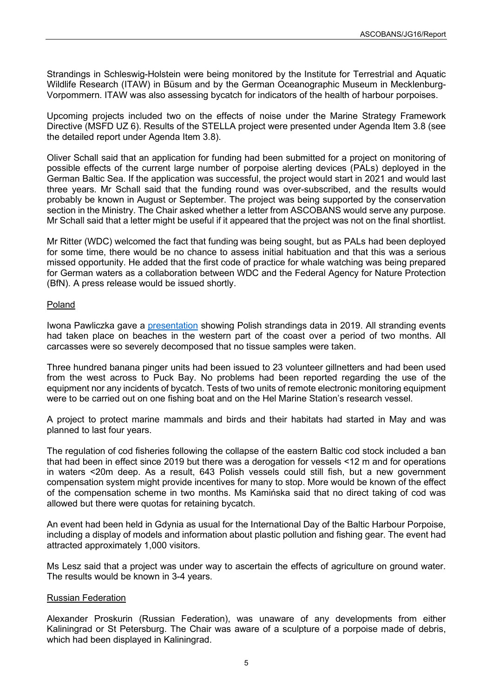Strandings in Schleswig-Holstein were being monitored by the Institute for Terrestrial and Aquatic Wildlife Research (ITAW) in Büsum and by the German Oceanographic Museum in Mecklenburg-Vorpommern. ITAW was also assessing bycatch for indicators of the health of harbour porpoises.

Upcoming projects included two on the effects of noise under the Marine Strategy Framework Directive (MSFD UZ 6). Results of the STELLA project were presented under Agenda Item 3.8 (see the detailed report under Agenda Item 3.8).

Oliver Schall said that an application for funding had been submitted for a project on monitoring of possible effects of the current large number of porpoise alerting devices (PALs) deployed in the German Baltic Sea. If the application was successful, the project would start in 2021 and would last three years. Mr Schall said that the funding round was over-subscribed, and the results would probably be known in August or September. The project was being supported by the conservation section in the Ministry. The Chair asked whether a letter from ASCOBANS would serve any purpose. Mr Schall said that a letter might be useful if it appeared that the project was not on the final shortlist.

Mr Ritter (WDC) welcomed the fact that funding was being sought, but as PALs had been deployed for some time, there would be no chance to assess initial habituation and that this was a serious missed opportunity. He added that the first code of practice for whale watching was being prepared for German waters as a collaboration between WDC and the Federal Agency for Nature Protection (BfN). A press release would be issued shortly.

# <span id="page-6-0"></span>Poland

Iwona Pawliczka gave a [presentation](https://www.ascobans.org/en/document/data-cetaceans-strandings-over-years-polish-waters) showing Polish strandings data in 2019. All stranding events had taken place on beaches in the western part of the coast over a period of two months. All carcasses were so severely decomposed that no tissue samples were taken.

Three hundred banana pinger units had been issued to 23 volunteer gillnetters and had been used from the west across to Puck Bay. No problems had been reported regarding the use of the equipment nor any incidents of bycatch. Tests of two units of remote electronic monitoring equipment were to be carried out on one fishing boat and on the Hel Marine Station's research vessel.

A project to protect marine mammals and birds and their habitats had started in May and was planned to last four years.

The regulation of cod fisheries following the collapse of the eastern Baltic cod stock included a ban that had been in effect since 2019 but there was a derogation for vessels <12 m and for operations in waters <20m deep. As a result, 643 Polish vessels could still fish, but a new government compensation system might provide incentives for many to stop. More would be known of the effect of the compensation scheme in two months. Ms Kamińska said that no direct taking of cod was allowed but there were quotas for retaining bycatch.

An event had been held in Gdynia as usual for the International Day of the Baltic Harbour Porpoise, including a display of models and information about plastic pollution and fishing gear. The event had attracted approximately 1,000 visitors.

Ms Lesz said that a project was under way to ascertain the effects of agriculture on ground water. The results would be known in 3-4 years.

# <span id="page-6-1"></span>Russian Federation

Alexander Proskurin (Russian Federation), was unaware of any developments from either Kaliningrad or St Petersburg. The Chair was aware of a sculpture of a porpoise made of debris, which had been displayed in Kaliningrad.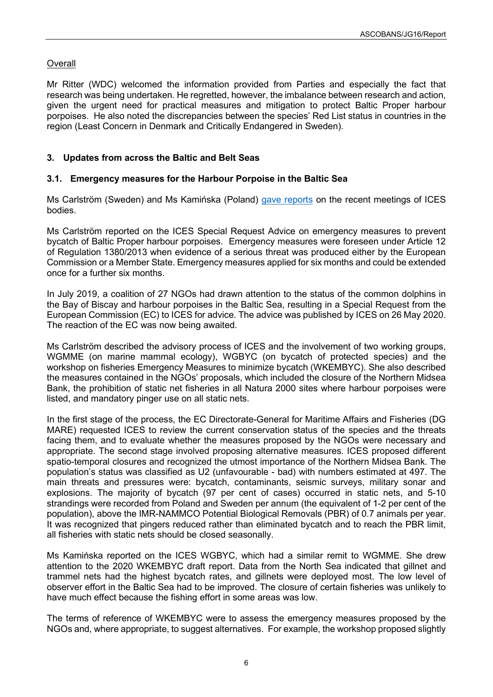# <span id="page-7-0"></span>**Overall**

Mr Ritter (WDC) welcomed the information provided from Parties and especially the fact that research was being undertaken. He regretted, however, the imbalance between research and action, given the urgent need for practical measures and mitigation to protect Baltic Proper harbour porpoises. He also noted the discrepancies between the species' Red List status in countries in the region (Least Concern in Denmark and Critically Endangered in Sweden).

# <span id="page-7-1"></span>**3. Updates from across the Baltic and Belt Seas**

# <span id="page-7-2"></span>**3.1. Emergency measures for the Harbour Porpoise in the Baltic Sea**

Ms Carlström (Sweden) and Ms Kamińska (Poland) [gave reports](https://www.ascobans.org/en/document/ices-special-request-advice-emergency-measures-prevent-bycatch-baltic-proper-harbor) on the recent meetings of ICES bodies.

Ms Carlström reported on the ICES Special Request Advice on emergency measures to prevent bycatch of Baltic Proper harbour porpoises. Emergency measures were foreseen under Article 12 of Regulation 1380/2013 when evidence of a serious threat was produced either by the European Commission or a Member State. Emergency measures applied for six months and could be extended once for a further six months.

In July 2019, a coalition of 27 NGOs had drawn attention to the status of the common dolphins in the Bay of Biscay and harbour porpoises in the Baltic Sea, resulting in a Special Request from the European Commission (EC) to ICES for advice. The advice was published by ICES on 26 May 2020. The reaction of the EC was now being awaited.

Ms Carlström described the advisory process of ICES and the involvement of two working groups, WGMME (on marine mammal ecology), WGBYC (on bycatch of protected species) and the workshop on fisheries Emergency Measures to minimize bycatch (WKEMBYC). She also described the measures contained in the NGOs' proposals, which included the closure of the Northern Midsea Bank, the prohibition of static net fisheries in all Natura 2000 sites where harbour porpoises were listed, and mandatory pinger use on all static nets.

In the first stage of the process, the EC Directorate-General for Maritime Affairs and Fisheries (DG MARE) requested ICES to review the current conservation status of the species and the threats facing them, and to evaluate whether the measures proposed by the NGOs were necessary and appropriate. The second stage involved proposing alternative measures. ICES proposed different spatio-temporal closures and recognized the utmost importance of the Northern Midsea Bank. The population's status was classified as U2 (unfavourable - bad) with numbers estimated at 497. The main threats and pressures were: bycatch, contaminants, seismic surveys, military sonar and explosions. The majority of bycatch (97 per cent of cases) occurred in static nets, and 5-10 strandings were recorded from Poland and Sweden per annum (the equivalent of 1-2 per cent of the population), above the IMR-NAMMCO Potential Biological Removals (PBR) of 0.7 animals per year. It was recognized that pingers reduced rather than eliminated bycatch and to reach the PBR limit, all fisheries with static nets should be closed seasonally.

Ms Kamińska reported on the ICES WGBYC, which had a similar remit to WGMME. She drew attention to the 2020 WKEMBYC draft report. Data from the North Sea indicated that gillnet and trammel nets had the highest bycatch rates, and gillnets were deployed most. The low level of observer effort in the Baltic Sea had to be improved. The closure of certain fisheries was unlikely to have much effect because the fishing effort in some areas was low.

The terms of reference of WKEMBYC were to assess the emergency measures proposed by the NGOs and, where appropriate, to suggest alternatives. For example, the workshop proposed slightly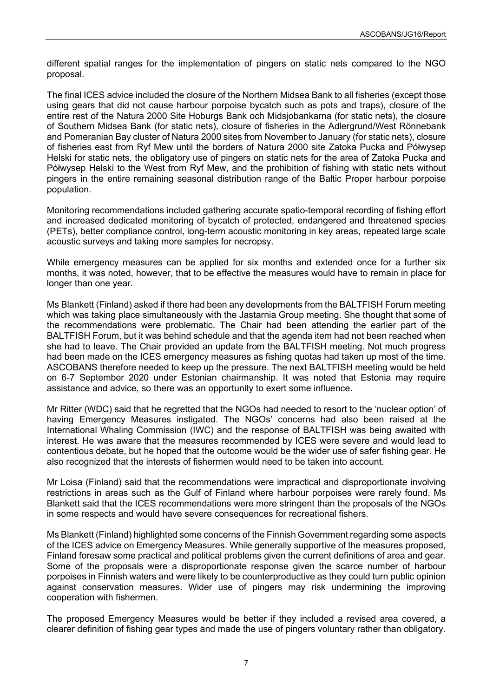different spatial ranges for the implementation of pingers on static nets compared to the NGO proposal.

The final ICES advice included the closure of the Northern Midsea Bank to all fisheries (except those using gears that did not cause harbour porpoise bycatch such as pots and traps), closure of the entire rest of the Natura 2000 Site Hoburgs Bank och Midsjobankarna (for static nets), the closure of Southern Midsea Bank (for static nets), closure of fisheries in the Adlergrund/West Rönnebank and Pomeranian Bay cluster of Natura 2000 sites from November to January (for static nets), closure of fisheries east from Ryf Mew until the borders of Natura 2000 site Zatoka Pucka and Półwysep Helski for static nets, the obligatory use of pingers on static nets for the area of Zatoka Pucka and Półwysep Helski to the West from Ryf Mew, and the prohibition of fishing with static nets without pingers in the entire remaining seasonal distribution range of the Baltic Proper harbour porpoise population.

Monitoring recommendations included gathering accurate spatio-temporal recording of fishing effort and increased dedicated monitoring of bycatch of protected, endangered and threatened species (PETs), better compliance control, long-term acoustic monitoring in key areas, repeated large scale acoustic surveys and taking more samples for necropsy.

While emergency measures can be applied for six months and extended once for a further six months, it was noted, however, that to be effective the measures would have to remain in place for longer than one year.

Ms Blankett (Finland) asked if there had been any developments from the BALTFISH Forum meeting which was taking place simultaneously with the Jastarnia Group meeting. She thought that some of the recommendations were problematic. The Chair had been attending the earlier part of the BALTFISH Forum, but it was behind schedule and that the agenda item had not been reached when she had to leave. The Chair provided an update from the BALTFISH meeting. Not much progress had been made on the ICES emergency measures as fishing quotas had taken up most of the time. ASCOBANS therefore needed to keep up the pressure. The next BALTFISH meeting would be held on 6-7 September 2020 under Estonian chairmanship. It was noted that Estonia may require assistance and advice, so there was an opportunity to exert some influence.

Mr Ritter (WDC) said that he regretted that the NGOs had needed to resort to the 'nuclear option' of having Emergency Measures instigated. The NGOs' concerns had also been raised at the International Whaling Commission (IWC) and the response of BALTFISH was being awaited with interest. He was aware that the measures recommended by ICES were severe and would lead to contentious debate, but he hoped that the outcome would be the wider use of safer fishing gear. He also recognized that the interests of fishermen would need to be taken into account.

Mr Loisa (Finland) said that the recommendations were impractical and disproportionate involving restrictions in areas such as the Gulf of Finland where harbour porpoises were rarely found. Ms Blankett said that the ICES recommendations were more stringent than the proposals of the NGOs in some respects and would have severe consequences for recreational fishers.

Ms Blankett (Finland) highlighted some concerns of the Finnish Government regarding some aspects of the ICES advice on Emergency Measures. While generally supportive of the measures proposed, Finland foresaw some practical and political problems given the current definitions of area and gear. Some of the proposals were a disproportionate response given the scarce number of harbour porpoises in Finnish waters and were likely to be counterproductive as they could turn public opinion against conservation measures. Wider use of pingers may risk undermining the improving cooperation with fishermen.

The proposed Emergency Measures would be better if they included a revised area covered, a clearer definition of fishing gear types and made the use of pingers voluntary rather than obligatory.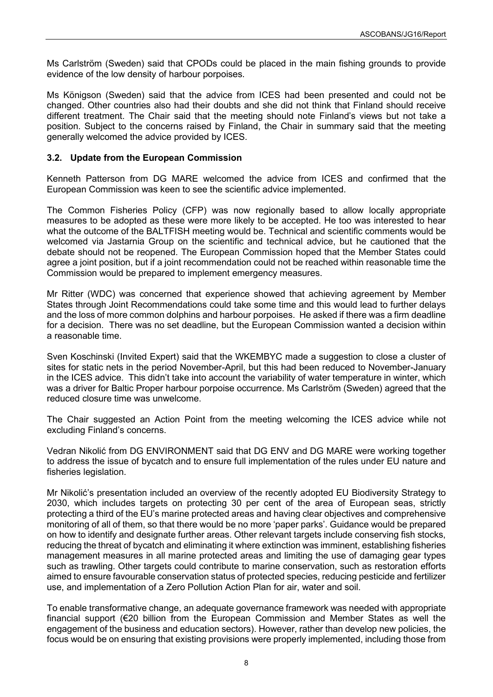Ms Carlström (Sweden) said that CPODs could be placed in the main fishing grounds to provide evidence of the low density of harbour porpoises.

Ms Königson (Sweden) said that the advice from ICES had been presented and could not be changed. Other countries also had their doubts and she did not think that Finland should receive different treatment. The Chair said that the meeting should note Finland's views but not take a position. Subject to the concerns raised by Finland, the Chair in summary said that the meeting generally welcomed the advice provided by ICES.

# <span id="page-9-0"></span>**3.2. Update from the European Commission**

Kenneth Patterson from DG MARE welcomed the advice from ICES and confirmed that the European Commission was keen to see the scientific advice implemented.

The Common Fisheries Policy (CFP) was now regionally based to allow locally appropriate measures to be adopted as these were more likely to be accepted. He too was interested to hear what the outcome of the BALTFISH meeting would be. Technical and scientific comments would be welcomed via Jastarnia Group on the scientific and technical advice, but he cautioned that the debate should not be reopened. The European Commission hoped that the Member States could agree a joint position, but if a joint recommendation could not be reached within reasonable time the Commission would be prepared to implement emergency measures.

Mr Ritter (WDC) was concerned that experience showed that achieving agreement by Member States through Joint Recommendations could take some time and this would lead to further delays and the loss of more common dolphins and harbour porpoises. He asked if there was a firm deadline for a decision. There was no set deadline, but the European Commission wanted a decision within a reasonable time.

Sven Koschinski (Invited Expert) said that the WKEMBYC made a suggestion to close a cluster of sites for static nets in the period November-April, but this had been reduced to November-January in the ICES advice. This didn't take into account the variability of water temperature in winter, which was a driver for Baltic Proper harbour porpoise occurrence. Ms Carlström (Sweden) agreed that the reduced closure time was unwelcome.

The Chair suggested an Action Point from the meeting welcoming the ICES advice while not excluding Finland's concerns.

Vedran Nikolić from DG ENVIRONMENT said that DG ENV and DG MARE were working together to address the issue of bycatch and to ensure full implementation of the rules under EU nature and fisheries legislation.

Mr Nikolić's presentation included an overview of the recently adopted EU Biodiversity Strategy to 2030, which includes targets on protecting 30 per cent of the area of European seas, strictly protecting a third of the EU's marine protected areas and having clear objectives and comprehensive monitoring of all of them, so that there would be no more 'paper parks'. Guidance would be prepared on how to identify and designate further areas. Other relevant targets include conserving fish stocks, reducing the threat of bycatch and eliminating it where extinction was imminent, establishing fisheries management measures in all marine protected areas and limiting the use of damaging gear types such as trawling. Other targets could contribute to marine conservation, such as restoration efforts aimed to ensure favourable conservation status of protected species, reducing pesticide and fertilizer use, and implementation of a Zero Pollution Action Plan for air, water and soil.

To enable transformative change, an adequate governance framework was needed with appropriate financial support (€20 billion from the European Commission and Member States as well the engagement of the business and education sectors). However, rather than develop new policies, the focus would be on ensuring that existing provisions were properly implemented, including those from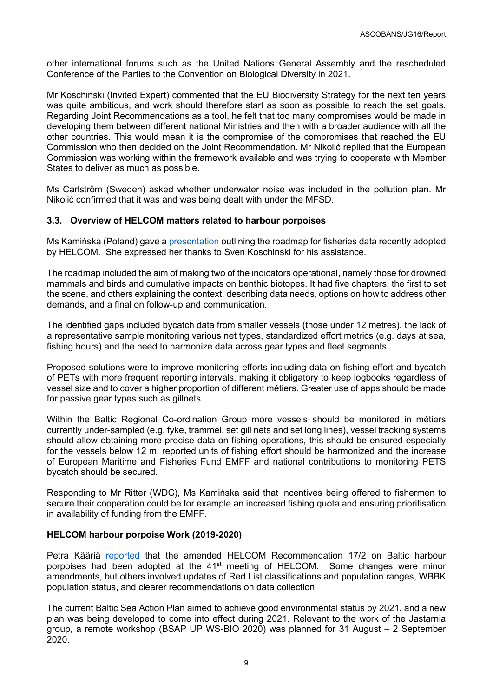other international forums such as the United Nations General Assembly and the rescheduled Conference of the Parties to the Convention on Biological Diversity in 2021.

Mr Koschinski (Invited Expert) commented that the EU Biodiversity Strategy for the next ten years was quite ambitious, and work should therefore start as soon as possible to reach the set goals. Regarding Joint Recommendations as a tool, he felt that too many compromises would be made in developing them between different national Ministries and then with a broader audience with all the other countries. This would mean it is the compromise of the compromises that reached the EU Commission who then decided on the Joint Recommendation. Mr Nikolić replied that the European Commission was working within the framework available and was trying to cooperate with Member States to deliver as much as possible.

Ms Carlström (Sweden) asked whether underwater noise was included in the pollution plan. Mr Nikolić confirmed that it was and was being dealt with under the MFSD.

# <span id="page-10-0"></span>**3.3. Overview of HELCOM matters related to harbour porpoises**

Ms Kamińska (Poland) gave a [presentation](https://www.ascobans.org/en/document/helcom-roadmap-fisheries-data-order-assess-incidental-bycatches-and-fisheries-impact) outlining the roadmap for fisheries data recently adopted by HELCOM. She expressed her thanks to Sven Koschinski for his assistance.

The roadmap included the aim of making two of the indicators operational, namely those for drowned mammals and birds and cumulative impacts on benthic biotopes. It had five chapters, the first to set the scene, and others explaining the context, describing data needs, options on how to address other demands, and a final on follow-up and communication.

The identified gaps included bycatch data from smaller vessels (those under 12 metres), the lack of a representative sample monitoring various net types, standardized effort metrics (e.g. days at sea, fishing hours) and the need to harmonize data across gear types and fleet segments.

Proposed solutions were to improve monitoring efforts including data on fishing effort and bycatch of PETs with more frequent reporting intervals, making it obligatory to keep logbooks regardless of vessel size and to cover a higher proportion of different métiers. Greater use of apps should be made for passive gear types such as gillnets.

Within the Baltic Regional Co-ordination Group more vessels should be monitored in métiers currently under-sampled (e.g. fyke, trammel, set gill nets and set long lines), vessel tracking systems should allow obtaining more precise data on fishing operations, this should be ensured especially for the vessels below 12 m, reported units of fishing effort should be harmonized and the increase of European Maritime and Fisheries Fund EMFF and national contributions to monitoring PETS bycatch should be secured.

Responding to Mr Ritter (WDC), Ms Kamińska said that incentives being offered to fishermen to secure their cooperation could be for example an increased fishing quota and ensuring prioritisation in availability of funding from the EMFF.

# <span id="page-10-1"></span>**HELCOM harbour porpoise Work (2019-2020)**

Petra Kääriä [reported](https://www.ascobans.org/en/document/helcom-work-harbor-porpoise-2019-2020) that the amended HELCOM Recommendation 17/2 on Baltic harbour porpoises had been adopted at the  $41<sup>st</sup>$  meeting of HELCOM. Some changes were minor amendments, but others involved updates of Red List classifications and population ranges, WBBK population status, and clearer recommendations on data collection.

The current Baltic Sea Action Plan aimed to achieve good environmental status by 2021, and a new plan was being developed to come into effect during 2021. Relevant to the work of the Jastarnia group, a remote workshop (BSAP UP WS-BIO 2020) was planned for 31 August – 2 September 2020.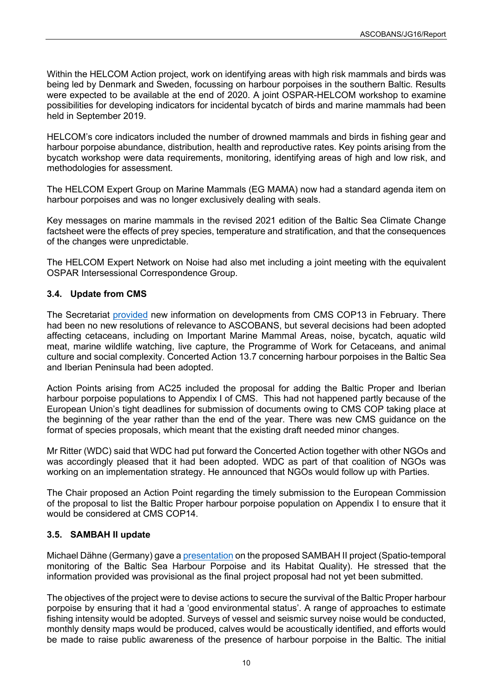Within the HELCOM Action project, work on identifying areas with high risk mammals and birds was being led by Denmark and Sweden, focussing on harbour porpoises in the southern Baltic. Results were expected to be available at the end of 2020. A joint OSPAR-HELCOM workshop to examine possibilities for developing indicators for incidental bycatch of birds and marine mammals had been held in September 2019.

HELCOM's core indicators included the number of drowned mammals and birds in fishing gear and harbour porpoise abundance, distribution, health and reproductive rates. Key points arising from the bycatch workshop were data requirements, monitoring, identifying areas of high and low risk, and methodologies for assessment.

The HELCOM Expert Group on Marine Mammals (EG MAMA) now had a standard agenda item on harbour porpoises and was no longer exclusively dealing with seals.

Key messages on marine mammals in the revised 2021 edition of the Baltic Sea Climate Change factsheet were the effects of prey species, temperature and stratification, and that the consequences of the changes were unpredictable.

The HELCOM Expert Network on Noise had also met including a joint meeting with the equivalent OSPAR Intersessional Correspondence Group.

# <span id="page-11-0"></span>**3.4. Update from CMS**

The Secretariat [provided](https://www.ascobans.org/en/document/update-cms) new information on developments from CMS COP13 in February. There had been no new resolutions of relevance to ASCOBANS, but several decisions had been adopted affecting cetaceans, including on Important Marine Mammal Areas, noise, bycatch, aquatic wild meat, marine wildlife watching, live capture, the Programme of Work for Cetaceans, and animal culture and social complexity. Concerted Action 13.7 concerning harbour porpoises in the Baltic Sea and Iberian Peninsula had been adopted.

Action Points arising from AC25 included the proposal for adding the Baltic Proper and Iberian harbour porpoise populations to Appendix I of CMS. This had not happened partly because of the European Union's tight deadlines for submission of documents owing to CMS COP taking place at the beginning of the year rather than the end of the year. There was new CMS guidance on the format of species proposals, which meant that the existing draft needed minor changes.

Mr Ritter (WDC) said that WDC had put forward the Concerted Action together with other NGOs and was accordingly pleased that it had been adopted. WDC as part of that coalition of NGOs was working on an implementation strategy. He announced that NGOs would follow up with Parties.

The Chair proposed an Action Point regarding the timely submission to the European Commission of the proposal to list the Baltic Proper harbour porpoise population on Appendix I to ensure that it would be considered at CMS COP14

# <span id="page-11-1"></span>**3.5. SAMBAH II update**

Michael Dähne (Germany) gave [a presentation](https://www.ascobans.org/en/document/sambah-ii-life-update) on the proposed SAMBAH II project (Spatio-temporal monitoring of the Baltic Sea Harbour Porpoise and its Habitat Quality). He stressed that the information provided was provisional as the final project proposal had not yet been submitted.

The objectives of the project were to devise actions to secure the survival of the Baltic Proper harbour porpoise by ensuring that it had a 'good environmental status'. A range of approaches to estimate fishing intensity would be adopted. Surveys of vessel and seismic survey noise would be conducted, monthly density maps would be produced, calves would be acoustically identified, and efforts would be made to raise public awareness of the presence of harbour porpoise in the Baltic. The initial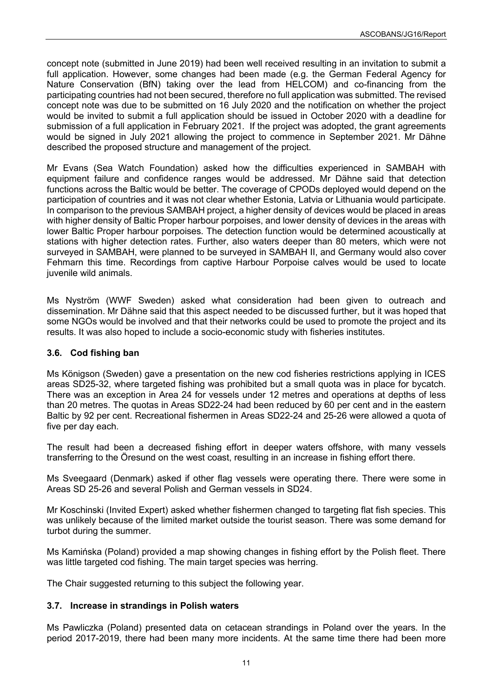concept note (submitted in June 2019) had been well received resulting in an invitation to submit a full application. However, some changes had been made (e.g. the German Federal Agency for Nature Conservation (BfN) taking over the lead from HELCOM) and co-financing from the participating countries had not been secured, therefore no full application was submitted. The revised concept note was due to be submitted on 16 July 2020 and the notification on whether the project would be invited to submit a full application should be issued in October 2020 with a deadline for submission of a full application in February 2021. If the project was adopted, the grant agreements would be signed in July 2021 allowing the project to commence in September 2021. Mr Dähne described the proposed structure and management of the project.

Mr Evans (Sea Watch Foundation) asked how the difficulties experienced in SAMBAH with equipment failure and confidence ranges would be addressed. Mr Dähne said that detection functions across the Baltic would be better. The coverage of CPODs deployed would depend on the participation of countries and it was not clear whether Estonia, Latvia or Lithuania would participate. In comparison to the previous SAMBAH project, a higher density of devices would be placed in areas with higher density of Baltic Proper harbour porpoises, and lower density of devices in the areas with lower Baltic Proper harbour porpoises. The detection function would be determined acoustically at stations with higher detection rates. Further, also waters deeper than 80 meters, which were not surveyed in SAMBAH, were planned to be surveyed in SAMBAH II, and Germany would also cover Fehmarn this time. Recordings from captive Harbour Porpoise calves would be used to locate juvenile wild animals.

Ms Nyström (WWF Sweden) asked what consideration had been given to outreach and dissemination. Mr Dähne said that this aspect needed to be discussed further, but it was hoped that some NGOs would be involved and that their networks could be used to promote the project and its results. It was also hoped to include a socio-economic study with fisheries institutes.

# <span id="page-12-0"></span>**3.6. Cod fishing ban**

Ms Königson (Sweden) gave a presentation on the new cod fisheries restrictions applying in ICES areas SD25-32, where targeted fishing was prohibited but a small quota was in place for bycatch. There was an exception in Area 24 for vessels under 12 metres and operations at depths of less than 20 metres. The quotas in Areas SD22-24 had been reduced by 60 per cent and in the eastern Baltic by 92 per cent. Recreational fishermen in Areas SD22-24 and 25-26 were allowed a quota of five per day each.

The result had been a decreased fishing effort in deeper waters offshore, with many vessels transferring to the Öresund on the west coast, resulting in an increase in fishing effort there.

Ms Sveegaard (Denmark) asked if other flag vessels were operating there. There were some in Areas SD 25-26 and several Polish and German vessels in SD24.

Mr Koschinski (Invited Expert) asked whether fishermen changed to targeting flat fish species. This was unlikely because of the limited market outside the tourist season. There was some demand for turbot during the summer.

Ms Kamińska (Poland) provided a map showing changes in fishing effort by the Polish fleet. There was little targeted cod fishing. The main target species was herring.

The Chair suggested returning to this subject the following year.

# <span id="page-12-1"></span>**3.7. Increase in strandings in Polish waters**

Ms Pawliczka (Poland) presented data on cetacean strandings in Poland over the years. In the period 2017-2019, there had been many more incidents. At the same time there had been more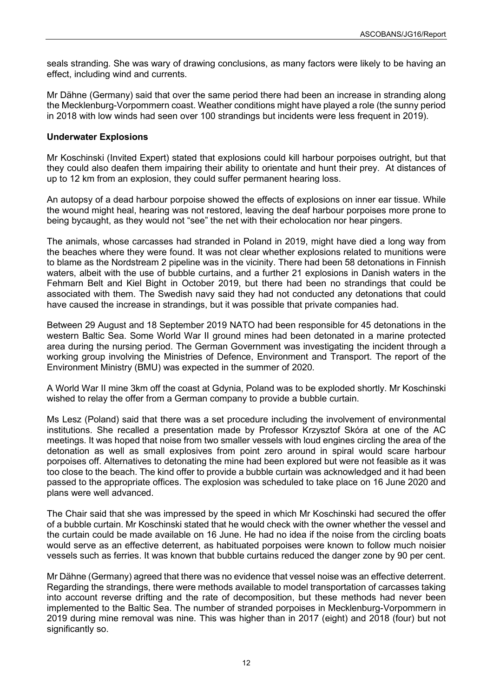seals stranding. She was wary of drawing conclusions, as many factors were likely to be having an effect, including wind and currents.

Mr Dähne (Germany) said that over the same period there had been an increase in stranding along the Mecklenburg-Vorpommern coast. Weather conditions might have played a role (the sunny period in 2018 with low winds had seen over 100 strandings but incidents were less frequent in 2019).

# <span id="page-13-0"></span>**Underwater Explosions**

Mr Koschinski (Invited Expert) stated that explosions could kill harbour porpoises outright, but that they could also deafen them impairing their ability to orientate and hunt their prey. At distances of up to 12 km from an explosion, they could suffer permanent hearing loss.

An autopsy of a dead harbour porpoise showed the effects of explosions on inner ear tissue. While the wound might heal, hearing was not restored, leaving the deaf harbour porpoises more prone to being bycaught, as they would not "see" the net with their echolocation nor hear pingers.

The animals, whose carcasses had stranded in Poland in 2019, might have died a long way from the beaches where they were found. It was not clear whether explosions related to munitions were to blame as the Nordstream 2 pipeline was in the vicinity. There had been 58 detonations in Finnish waters, albeit with the use of bubble curtains, and a further 21 explosions in Danish waters in the Fehmarn Belt and Kiel Bight in October 2019, but there had been no strandings that could be associated with them. The Swedish navy said they had not conducted any detonations that could have caused the increase in strandings, but it was possible that private companies had.

Between 29 August and 18 September 2019 NATO had been responsible for 45 detonations in the western Baltic Sea. Some World War II ground mines had been detonated in a marine protected area during the nursing period. The German Government was investigating the incident through a working group involving the Ministries of Defence, Environment and Transport. The report of the Environment Ministry (BMU) was expected in the summer of 2020.

A World War II mine 3km off the coast at Gdynia, Poland was to be exploded shortly. Mr Koschinski wished to relay the offer from a German company to provide a bubble curtain.

Ms Lesz (Poland) said that there was a set procedure including the involvement of environmental institutions. She recalled a presentation made by Professor Krzysztof Skóra at one of the AC meetings. It was hoped that noise from two smaller vessels with loud engines circling the area of the detonation as well as small explosives from point zero around in spiral would scare harbour porpoises off. Alternatives to detonating the mine had been explored but were not feasible as it was too close to the beach. The kind offer to provide a bubble curtain was acknowledged and it had been passed to the appropriate offices. The explosion was scheduled to take place on 16 June 2020 and plans were well advanced.

The Chair said that she was impressed by the speed in which Mr Koschinski had secured the offer of a bubble curtain. Mr Koschinski stated that he would check with the owner whether the vessel and the curtain could be made available on 16 June. He had no idea if the noise from the circling boats would serve as an effective deterrent, as habituated porpoises were known to follow much noisier vessels such as ferries. It was known that bubble curtains reduced the danger zone by 90 per cent.

Mr Dähne (Germany) agreed that there was no evidence that vessel noise was an effective deterrent. Regarding the strandings, there were methods available to model transportation of carcasses taking into account reverse drifting and the rate of decomposition, but these methods had never been implemented to the Baltic Sea. The number of stranded porpoises in Mecklenburg-Vorpommern in 2019 during mine removal was nine. This was higher than in 2017 (eight) and 2018 (four) but not significantly so.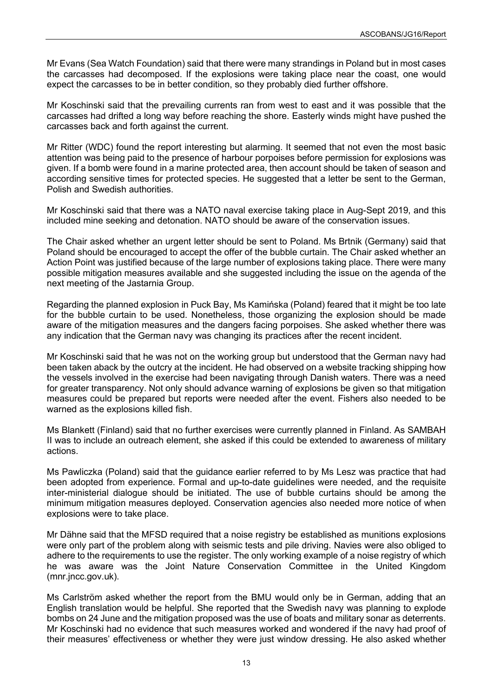Mr Evans (Sea Watch Foundation) said that there were many strandings in Poland but in most cases the carcasses had decomposed. If the explosions were taking place near the coast, one would expect the carcasses to be in better condition, so they probably died further offshore.

Mr Koschinski said that the prevailing currents ran from west to east and it was possible that the carcasses had drifted a long way before reaching the shore. Easterly winds might have pushed the carcasses back and forth against the current.

Mr Ritter (WDC) found the report interesting but alarming. It seemed that not even the most basic attention was being paid to the presence of harbour porpoises before permission for explosions was given. If a bomb were found in a marine protected area, then account should be taken of season and according sensitive times for protected species. He suggested that a letter be sent to the German, Polish and Swedish authorities.

Mr Koschinski said that there was a NATO naval exercise taking place in Aug-Sept 2019, and this included mine seeking and detonation. NATO should be aware of the conservation issues.

The Chair asked whether an urgent letter should be sent to Poland. Ms Brtnik (Germany) said that Poland should be encouraged to accept the offer of the bubble curtain. The Chair asked whether an Action Point was justified because of the large number of explosions taking place. There were many possible mitigation measures available and she suggested including the issue on the agenda of the next meeting of the Jastarnia Group.

Regarding the planned explosion in Puck Bay, Ms Kamińska (Poland) feared that it might be too late for the bubble curtain to be used. Nonetheless, those organizing the explosion should be made aware of the mitigation measures and the dangers facing porpoises. She asked whether there was any indication that the German navy was changing its practices after the recent incident.

Mr Koschinski said that he was not on the working group but understood that the German navy had been taken aback by the outcry at the incident. He had observed on a website tracking shipping how the vessels involved in the exercise had been navigating through Danish waters. There was a need for greater transparency. Not only should advance warning of explosions be given so that mitigation measures could be prepared but reports were needed after the event. Fishers also needed to be warned as the explosions killed fish.

Ms Blankett (Finland) said that no further exercises were currently planned in Finland. As SAMBAH II was to include an outreach element, she asked if this could be extended to awareness of military actions.

Ms Pawliczka (Poland) said that the guidance earlier referred to by Ms Lesz was practice that had been adopted from experience. Formal and up-to-date guidelines were needed, and the requisite inter-ministerial dialogue should be initiated. The use of bubble curtains should be among the minimum mitigation measures deployed. Conservation agencies also needed more notice of when explosions were to take place.

Mr Dähne said that the MFSD required that a noise registry be established as munitions explosions were only part of the problem along with seismic tests and pile driving. Navies were also obliged to adhere to the requirements to use the register. The only working example of a noise registry of which he was aware was the Joint Nature Conservation Committee in the United Kingdom (mnr.jncc.gov.uk).

Ms Carlström asked whether the report from the BMU would only be in German, adding that an English translation would be helpful. She reported that the Swedish navy was planning to explode bombs on 24 June and the mitigation proposed was the use of boats and military sonar as deterrents. Mr Koschinski had no evidence that such measures worked and wondered if the navy had proof of their measures' effectiveness or whether they were just window dressing. He also asked whether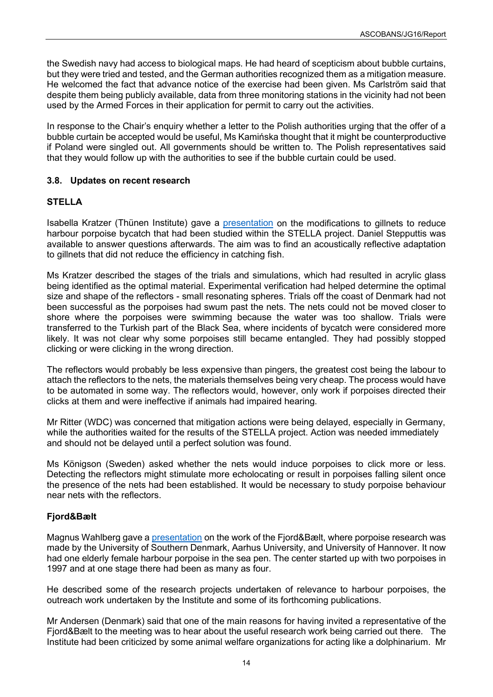the Swedish navy had access to biological maps. He had heard of scepticism about bubble curtains, but they were tried and tested, and the German authorities recognized them as a mitigation measure. He welcomed the fact that advance notice of the exercise had been given. Ms Carlström said that despite them being publicly available, data from three monitoring stations in the vicinity had not been used by the Armed Forces in their application for permit to carry out the activities.

In response to the Chair's enquiry whether a letter to the Polish authorities urging that the offer of a bubble curtain be accepted would be useful, Ms Kamińska thought that it might be counterproductive if Poland were singled out. All governments should be written to. The Polish representatives said that they would follow up with the authorities to see if the bubble curtain could be used.

# <span id="page-15-0"></span>**3.8. Updates on recent research**

# <span id="page-15-1"></span>**STELLA**

Isabella Kratzer (Thünen Institute) gave a [presentation](https://www.ascobans.org/en/document/gillnet-modifications-reduce-harbor-porpoise-bycatch) on the modifications to gillnets to reduce harbour porpoise bycatch that had been studied within the STELLA project. Daniel Stepputtis was available to answer questions afterwards. The aim was to find an acoustically reflective adaptation to gillnets that did not reduce the efficiency in catching fish.

Ms Kratzer described the stages of the trials and simulations, which had resulted in acrylic glass being identified as the optimal material. Experimental verification had helped determine the optimal size and shape of the reflectors - small resonating spheres. Trials off the coast of Denmark had not been successful as the porpoises had swum past the nets. The nets could not be moved closer to shore where the porpoises were swimming because the water was too shallow. Trials were transferred to the Turkish part of the Black Sea, where incidents of bycatch were considered more likely. It was not clear why some porpoises still became entangled. They had possibly stopped clicking or were clicking in the wrong direction.

The reflectors would probably be less expensive than pingers, the greatest cost being the labour to attach the reflectors to the nets, the materials themselves being very cheap. The process would have to be automated in some way. The reflectors would, however, only work if porpoises directed their clicks at them and were ineffective if animals had impaired hearing.

Mr Ritter (WDC) was concerned that mitigation actions were being delayed, especially in Germany, while the authorities waited for the results of the STELLA project. Action was needed immediately and should not be delayed until a perfect solution was found.

Ms Königson (Sweden) asked whether the nets would induce porpoises to click more or less. Detecting the reflectors might stimulate more echolocating or result in porpoises falling silent once the presence of the nets had been established. It would be necessary to study porpoise behaviour near nets with the reflectors.

# <span id="page-15-2"></span>**Fjord&Bælt**

Magnus Wahlberg gave a [presentation](https://www.ascobans.org/en/document/recent-porpoise-research-fjordbaelt) on the work of the Fjord&Bælt, where porpoise research was made by the University of Southern Denmark, Aarhus University, and University of Hannover. It now had one elderly female harbour porpoise in the sea pen. The center started up with two porpoises in 1997 and at one stage there had been as many as four.

He described some of the research projects undertaken of relevance to harbour porpoises, the outreach work undertaken by the Institute and some of its forthcoming publications.

Mr Andersen (Denmark) said that one of the main reasons for having invited a representative of the Fjord&Bælt to the meeting was to hear about the useful research work being carried out there. The Institute had been criticized by some animal welfare organizations for acting like a dolphinarium. Mr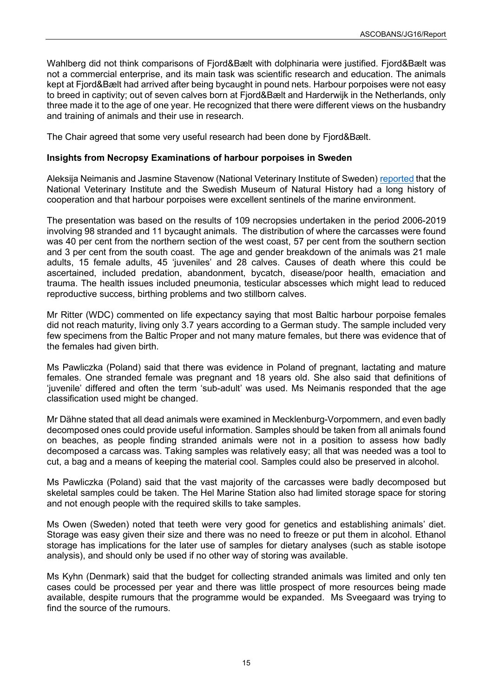Wahlberg did not think comparisons of Fjord&Bælt with dolphinaria were justified. Fjord&Bælt was not a commercial enterprise, and its main task was scientific research and education. The animals kept at Fjord&Bælt had arrived after being bycaught in pound nets. Harbour porpoises were not easy to breed in captivity; out of seven calves born at Fjord&Bælt and Harderwijk in the Netherlands, only three made it to the age of one year. He recognized that there were different views on the husbandry and training of animals and their use in research.

The Chair agreed that some very useful research had been done by Fjord&Bælt.

#### <span id="page-16-0"></span>**Insights from Necropsy Examinations of harbour porpoises in Sweden**

Aleksija Neimanis and Jasmine Stavenow (National Veterinary Institute of Sweden) [reported](https://www.ascobans.org/en/document/insights-necropsy-examinations-harbor-porpoises-sweden) that the National Veterinary Institute and the Swedish Museum of Natural History had a long history of cooperation and that harbour porpoises were excellent sentinels of the marine environment.

The presentation was based on the results of 109 necropsies undertaken in the period 2006-2019 involving 98 stranded and 11 bycaught animals. The distribution of where the carcasses were found was 40 per cent from the northern section of the west coast, 57 per cent from the southern section and 3 per cent from the south coast. The age and gender breakdown of the animals was 21 male adults, 15 female adults, 45 'juveniles' and 28 calves. Causes of death where this could be ascertained, included predation, abandonment, bycatch, disease/poor health, emaciation and trauma. The health issues included pneumonia, testicular abscesses which might lead to reduced reproductive success, birthing problems and two stillborn calves.

Mr Ritter (WDC) commented on life expectancy saying that most Baltic harbour porpoise females did not reach maturity, living only 3.7 years according to a German study. The sample included very few specimens from the Baltic Proper and not many mature females, but there was evidence that of the females had given birth.

Ms Pawliczka (Poland) said that there was evidence in Poland of pregnant, lactating and mature females. One stranded female was pregnant and 18 years old. She also said that definitions of 'juvenile' differed and often the term 'sub-adult' was used. Ms Neimanis responded that the age classification used might be changed.

Mr Dähne stated that all dead animals were examined in Mecklenburg-Vorpommern, and even badly decomposed ones could provide useful information. Samples should be taken from all animals found on beaches, as people finding stranded animals were not in a position to assess how badly decomposed a carcass was. Taking samples was relatively easy; all that was needed was a tool to cut, a bag and a means of keeping the material cool. Samples could also be preserved in alcohol.

Ms Pawliczka (Poland) said that the vast majority of the carcasses were badly decomposed but skeletal samples could be taken. The Hel Marine Station also had limited storage space for storing and not enough people with the required skills to take samples.

Ms Owen (Sweden) noted that teeth were very good for genetics and establishing animals' diet. Storage was easy given their size and there was no need to freeze or put them in alcohol. Ethanol storage has implications for the later use of samples for dietary analyses (such as stable isotope analysis), and should only be used if no other way of storing was available.

Ms Kyhn (Denmark) said that the budget for collecting stranded animals was limited and only ten cases could be processed per year and there was little prospect of more resources being made available, despite rumours that the programme would be expanded. Ms Sveegaard was trying to find the source of the rumours.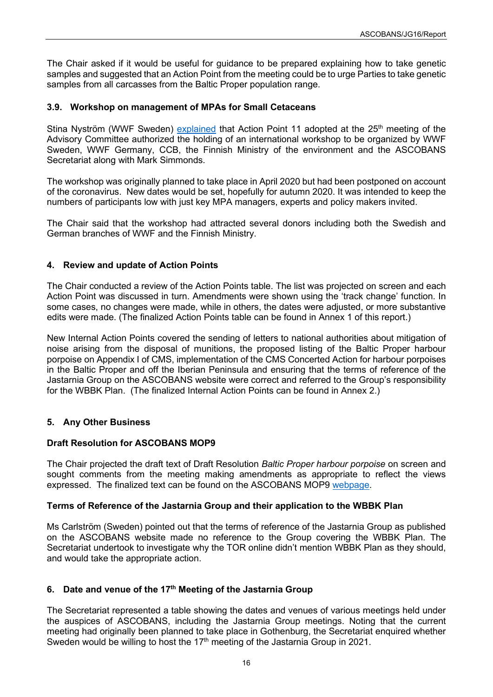The Chair asked if it would be useful for guidance to be prepared explaining how to take genetic samples and suggested that an Action Point from the meeting could be to urge Parties to take genetic samples from all carcasses from the Baltic Proper population range.

# <span id="page-17-0"></span>**3.9. Workshop on management of MPAs for Small Cetaceans**

Stina Nyström (WWF Sweden) [explained](https://www.ascobans.org/en/document/ascobans-mpa-workshop-small-cetaceans) that Action Point 11 adopted at the 25<sup>th</sup> meeting of the Advisory Committee authorized the holding of an international workshop to be organized by WWF Sweden, WWF Germany, CCB, the Finnish Ministry of the environment and the ASCOBANS Secretariat along with Mark Simmonds.

The workshop was originally planned to take place in April 2020 but had been postponed on account of the coronavirus. New dates would be set, hopefully for autumn 2020. It was intended to keep the numbers of participants low with just key MPA managers, experts and policy makers invited.

The Chair said that the workshop had attracted several donors including both the Swedish and German branches of WWF and the Finnish Ministry.

# <span id="page-17-1"></span>**4. Review and update of Action Points**

The Chair conducted a review of the Action Points table. The list was projected on screen and each Action Point was discussed in turn. Amendments were shown using the 'track change' function. In some cases, no changes were made, while in others, the dates were adjusted, or more substantive edits were made. (The finalized Action Points table can be found in Annex 1 of this report.)

New Internal Action Points covered the sending of letters to national authorities about mitigation of noise arising from the disposal of munitions, the proposed listing of the Baltic Proper harbour porpoise on Appendix I of CMS, implementation of the CMS Concerted Action for harbour porpoises in the Baltic Proper and off the Iberian Peninsula and ensuring that the terms of reference of the Jastarnia Group on the ASCOBANS website were correct and referred to the Group's responsibility for the WBBK Plan. (The finalized Internal Action Points can be found in Annex 2.)

# <span id="page-17-2"></span>**5. Any Other Business**

# **Draft Resolution for ASCOBANS MOP9**

The Chair projected the draft text of Draft Resolution *Baltic Proper harbour porpoise* on screen and sought comments from the meeting making amendments as appropriate to reflect the views expressed. The finalized text can be found on the ASCOBANS MOP9 [webpage.](https://www.ascobans.org/en/meeting/mop9)

# **Terms of Reference of the Jastarnia Group and their application to the WBBK Plan**

Ms Carlström (Sweden) pointed out that the terms of reference of the Jastarnia Group as published on the ASCOBANS website made no reference to the Group covering the WBBK Plan. The Secretariat undertook to investigate why the TOR online didn't mention WBBK Plan as they should, and would take the appropriate action.

# <span id="page-17-3"></span>**6. Date and venue of the 17th Meeting of the Jastarnia Group**

The Secretariat represented a table showing the dates and venues of various meetings held under the auspices of ASCOBANS, including the Jastarnia Group meetings. Noting that the current meeting had originally been planned to take place in Gothenburg, the Secretariat enquired whether Sweden would be willing to host the  $17<sup>th</sup>$  meeting of the Jastarnia Group in 2021.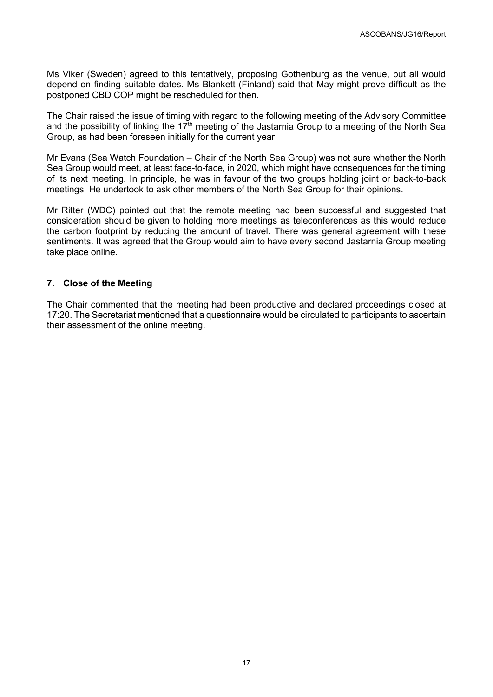Ms Viker (Sweden) agreed to this tentatively, proposing Gothenburg as the venue, but all would depend on finding suitable dates. Ms Blankett (Finland) said that May might prove difficult as the postponed CBD COP might be rescheduled for then.

The Chair raised the issue of timing with regard to the following meeting of the Advisory Committee and the possibility of linking the  $17<sup>th</sup>$  meeting of the Jastarnia Group to a meeting of the North Sea Group, as had been foreseen initially for the current year.

Mr Evans (Sea Watch Foundation – Chair of the North Sea Group) was not sure whether the North Sea Group would meet, at least face-to-face, in 2020, which might have consequences for the timing of its next meeting. In principle, he was in favour of the two groups holding joint or back-to-back meetings. He undertook to ask other members of the North Sea Group for their opinions.

Mr Ritter (WDC) pointed out that the remote meeting had been successful and suggested that consideration should be given to holding more meetings as teleconferences as this would reduce the carbon footprint by reducing the amount of travel. There was general agreement with these sentiments. It was agreed that the Group would aim to have every second Jastarnia Group meeting take place online.

# <span id="page-18-0"></span>**7. Close of the Meeting**

The Chair commented that the meeting had been productive and declared proceedings closed at 17:20. The Secretariat mentioned that a questionnaire would be circulated to participants to ascertain their assessment of the online meeting.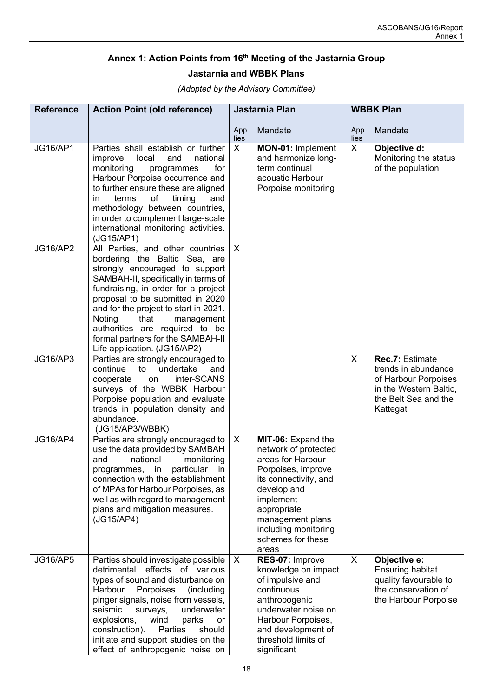# **Annex 1: Action Points from 16th Meeting of the Jastarnia Group Jastarnia and WBBK Plans**

<span id="page-19-0"></span>

| <b>Reference</b> | <b>Action Point (old reference)</b>                                                                                                                                                                                                                                                                                                                                                                   | Jastarnia Plan |                                                                                                                                                                                                                                     | <b>WBBK Plan</b> |                                                                                                                              |
|------------------|-------------------------------------------------------------------------------------------------------------------------------------------------------------------------------------------------------------------------------------------------------------------------------------------------------------------------------------------------------------------------------------------------------|----------------|-------------------------------------------------------------------------------------------------------------------------------------------------------------------------------------------------------------------------------------|------------------|------------------------------------------------------------------------------------------------------------------------------|
|                  |                                                                                                                                                                                                                                                                                                                                                                                                       | App<br>lies    | Mandate                                                                                                                                                                                                                             | App<br>lies      | Mandate                                                                                                                      |
| <b>JG16/AP1</b>  | Parties shall establish or further<br>local<br>national<br>improve<br>and<br>monitoring<br>for<br>programmes<br>Harbour Porpoise occurrence and<br>to further ensure these are aligned<br>terms<br>of<br>timing<br>in<br>and<br>methodology between countries,<br>in order to complement large-scale<br>international monitoring activities.<br>(JG15/AP1)                                            | X              | MON-01: Implement<br>and harmonize long-<br>term continual<br>acoustic Harbour<br>Porpoise monitoring                                                                                                                               | X                | Objective d:<br>Monitoring the status<br>of the population                                                                   |
| <b>JG16/AP2</b>  | All Parties, and other countries<br>bordering the Baltic Sea, are<br>strongly encouraged to support<br>SAMBAH-II, specifically in terms of<br>fundraising, in order for a project<br>proposal to be submitted in 2020<br>and for the project to start in 2021.<br>that<br>Noting<br>management<br>authorities are required to be<br>formal partners for the SAMBAH-II<br>Life application. (JG15/AP2) | $\sf X$        |                                                                                                                                                                                                                                     |                  |                                                                                                                              |
| <b>JG16/AP3</b>  | Parties are strongly encouraged to<br>continue<br>to<br>undertake<br>and<br>inter-SCANS<br>cooperate<br>on<br>surveys of the WBBK Harbour<br>Porpoise population and evaluate<br>trends in population density and<br>abundance.<br>(JG15/AP3/WBBK)                                                                                                                                                    |                |                                                                                                                                                                                                                                     | X                | Rec.7: Estimate<br>trends in abundance<br>of Harbour Porpoises<br>in the Western Baltic,<br>the Belt Sea and the<br>Kattegat |
| <b>JG16/AP4</b>  | Parties are strongly encouraged to<br>use the data provided by SAMBAH<br>national<br>monitoring<br>and<br>programmes, in particular in<br>connection with the establishment<br>of MPAs for Harbour Porpoises, as<br>well as with regard to management<br>plans and mitigation measures.<br>(JG15/AP4)                                                                                                 | X              | MIT-06: Expand the<br>network of protected<br>areas for Harbour<br>Porpoises, improve<br>its connectivity, and<br>develop and<br>implement<br>appropriate<br>management plans<br>including monitoring<br>schemes for these<br>areas |                  |                                                                                                                              |
| <b>JG16/AP5</b>  | Parties should investigate possible<br>detrimental effects of various<br>types of sound and disturbance on<br>Porpoises<br>Harbour<br>(including<br>pinger signals, noise from vessels,<br>seismic<br>surveys,<br>underwater<br>explosions,<br>wind<br>parks<br>or<br>construction).<br>Parties<br>should<br>initiate and support studies on the<br>effect of anthropogenic noise on                  | X              | RES-07: Improve<br>knowledge on impact<br>of impulsive and<br>continuous<br>anthropogenic<br>underwater noise on<br>Harbour Porpoises,<br>and development of<br>threshold limits of<br>significant                                  | X                | Objective e:<br><b>Ensuring habitat</b><br>quality favourable to<br>the conservation of<br>the Harbour Porpoise              |

*(Adopted by the Advisory Committee)*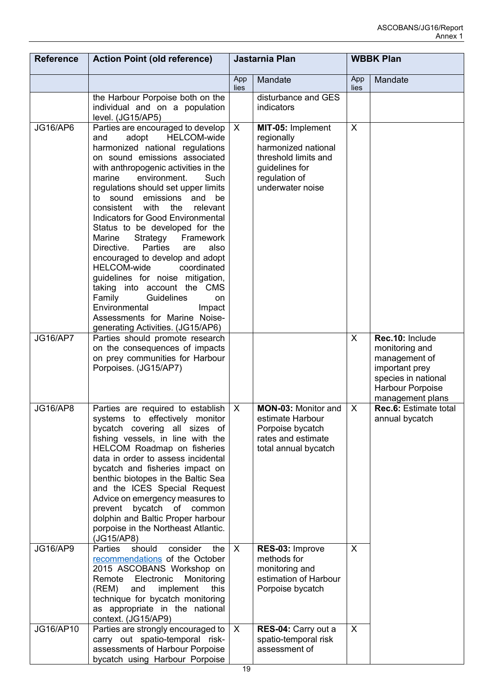| <b>Reference</b> | <b>Action Point (old reference)</b>                                                                                                                                                                                                                                                                                                                                                                                                                                                                                                                                                                                                                                                                                                                                            | Jastarnia Plan |                                                                                                                                       | <b>WBBK Plan</b> |                                                                                                                                     |
|------------------|--------------------------------------------------------------------------------------------------------------------------------------------------------------------------------------------------------------------------------------------------------------------------------------------------------------------------------------------------------------------------------------------------------------------------------------------------------------------------------------------------------------------------------------------------------------------------------------------------------------------------------------------------------------------------------------------------------------------------------------------------------------------------------|----------------|---------------------------------------------------------------------------------------------------------------------------------------|------------------|-------------------------------------------------------------------------------------------------------------------------------------|
|                  |                                                                                                                                                                                                                                                                                                                                                                                                                                                                                                                                                                                                                                                                                                                                                                                | App<br>lies    | Mandate                                                                                                                               | App<br>lies      | Mandate                                                                                                                             |
|                  | the Harbour Porpoise both on the<br>individual and on a population<br>level. (JG15/AP5)                                                                                                                                                                                                                                                                                                                                                                                                                                                                                                                                                                                                                                                                                        |                | disturbance and GES<br>indicators                                                                                                     |                  |                                                                                                                                     |
| JG16/AP6         | Parties are encouraged to develop<br><b>HELCOM-wide</b><br>adopt<br>and<br>harmonized national regulations<br>on sound emissions associated<br>with anthropogenic activities in the<br>environment.<br>marine<br>Such<br>regulations should set upper limits<br>to sound<br>emissions<br>and<br>be<br>consistent<br>with<br>the<br>relevant<br>Indicators for Good Environmental<br>Status to be developed for the<br>Marine<br>Strategy<br>Framework<br><b>Parties</b><br>Directive.<br>also<br>are<br>encouraged to develop and adopt<br><b>HELCOM-wide</b><br>coordinated<br>guidelines for noise mitigation,<br>taking into account the CMS<br>Guidelines<br>Family<br>on<br>Environmental<br>Impact<br>Assessments for Marine Noise-<br>generating Activities. (JG15/AP6) | X              | MIT-05: Implement<br>regionally<br>harmonized national<br>threshold limits and<br>guidelines for<br>regulation of<br>underwater noise | $\sf X$          |                                                                                                                                     |
| <b>JG16/AP7</b>  | Parties should promote research<br>on the consequences of impacts<br>on prey communities for Harbour<br>Porpoises. (JG15/AP7)                                                                                                                                                                                                                                                                                                                                                                                                                                                                                                                                                                                                                                                  |                |                                                                                                                                       | X                | Rec.10: Include<br>monitoring and<br>management of<br>important prey<br>species in national<br>Harbour Porpoise<br>management plans |
| <b>JG16/AP8</b>  | Parties are required to establish<br>systems to effectively monitor<br>bycatch covering all sizes of<br>fishing vessels, in line with the<br>HELCOM Roadmap on fisheries<br>data in order to assess incidental<br>bycatch and fisheries impact on<br>benthic biotopes in the Baltic Sea<br>and the ICES Special Request<br>Advice on emergency measures to<br>bycatch of common<br>prevent<br>dolphin and Baltic Proper harbour<br>porpoise in the Northeast Atlantic.<br>(JG15/AP8)                                                                                                                                                                                                                                                                                           | $\sf X$        | <b>MON-03: Monitor and</b><br>estimate Harbour<br>Porpoise bycatch<br>rates and estimate<br>total annual bycatch                      | X                | Rec.6: Estimate total<br>annual bycatch                                                                                             |
| <b>JG16/AP9</b>  | Parties<br>should<br>consider<br>the<br>recommendations of the October<br>2015 ASCOBANS Workshop on<br>Remote<br>Electronic<br>Monitoring<br>implement<br>(REM)<br>and<br>this<br>technique for bycatch monitoring<br>as appropriate in the national<br>context. (JG15/AP9)                                                                                                                                                                                                                                                                                                                                                                                                                                                                                                    | X              | RES-03: Improve<br>methods for<br>monitoring and<br>estimation of Harbour<br>Porpoise bycatch                                         | X                |                                                                                                                                     |
| JG16/AP10        | Parties are strongly encouraged to<br>carry out spatio-temporal risk-<br>assessments of Harbour Porpoise<br>bycatch using Harbour Porpoise                                                                                                                                                                                                                                                                                                                                                                                                                                                                                                                                                                                                                                     | X              | RES-04: Carry out a<br>spatio-temporal risk<br>assessment of                                                                          | X                |                                                                                                                                     |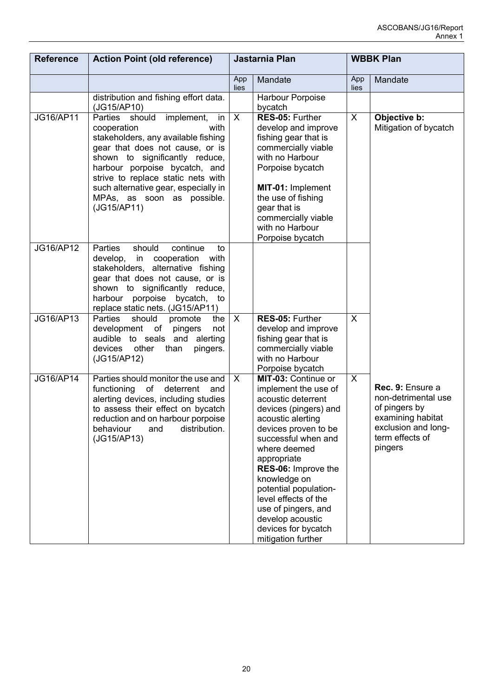| <b>Reference</b> | <b>Action Point (old reference)</b>                                                                                                                                                                                                                                                                                               |              | Jastarnia Plan                                                                                                                                                                                                                                                                                                                                                                |             | <b>WBBK Plan</b>                                                                                                                   |
|------------------|-----------------------------------------------------------------------------------------------------------------------------------------------------------------------------------------------------------------------------------------------------------------------------------------------------------------------------------|--------------|-------------------------------------------------------------------------------------------------------------------------------------------------------------------------------------------------------------------------------------------------------------------------------------------------------------------------------------------------------------------------------|-------------|------------------------------------------------------------------------------------------------------------------------------------|
|                  |                                                                                                                                                                                                                                                                                                                                   | App<br>lies  | Mandate                                                                                                                                                                                                                                                                                                                                                                       | App<br>lies | Mandate                                                                                                                            |
|                  | distribution and fishing effort data.<br>(JG15/AP10)                                                                                                                                                                                                                                                                              |              | Harbour Porpoise<br>bycatch                                                                                                                                                                                                                                                                                                                                                   |             |                                                                                                                                    |
| JG16/AP11        | Parties should<br>implement,<br>in<br>with<br>cooperation<br>stakeholders, any available fishing<br>gear that does not cause, or is<br>shown to significantly reduce,<br>harbour porpoise bycatch, and<br>strive to replace static nets with<br>such alternative gear, especially in<br>MPAs, as soon as possible.<br>(JG15/AP11) | $\mathsf{X}$ | RES-05: Further<br>develop and improve<br>fishing gear that is<br>commercially viable<br>with no Harbour<br>Porpoise bycatch<br>MIT-01: Implement<br>the use of fishing<br>gear that is<br>commercially viable<br>with no Harbour<br>Porpoise bycatch                                                                                                                         | X           | Objective b:<br>Mitigation of bycatch                                                                                              |
| JG16/AP12        | Parties<br>should<br>continue<br>to<br>develop, in cooperation with<br>stakeholders, alternative fishing<br>gear that does not cause, or is<br>shown to significantly reduce,<br>harbour porpoise bycatch, to<br>replace static nets. (JG15/AP11)                                                                                 |              |                                                                                                                                                                                                                                                                                                                                                                               |             |                                                                                                                                    |
| JG16/AP13        | <b>Parties</b><br>should<br>promote<br>the<br>development of<br>pingers<br>not<br>audible to seals and alerting<br>devices<br>other<br>than<br>pingers.<br>(JG15/AP12)                                                                                                                                                            | $\mathsf{X}$ | RES-05: Further<br>develop and improve<br>fishing gear that is<br>commercially viable<br>with no Harbour<br>Porpoise bycatch                                                                                                                                                                                                                                                  | $\sf X$     |                                                                                                                                    |
| JG16/AP14        | Parties should monitor the use and<br>of<br>deterrent<br>functioning<br>and<br>alerting devices, including studies<br>to assess their effect on bycatch<br>reduction and on harbour porpoise<br>distribution.<br>behaviour<br>and<br>(JG15/AP13)                                                                                  | $\mathsf{X}$ | MIT-03: Continue or<br>implement the use of<br>acoustic deterrent<br>devices (pingers) and<br>acoustic alerting<br>devices proven to be<br>successful when and<br>where deemed<br>appropriate<br>RES-06: Improve the<br>knowledge on<br>potential population-<br>level effects of the<br>use of pingers, and<br>develop acoustic<br>devices for bycatch<br>mitigation further | X           | Rec. 9: Ensure a<br>non-detrimental use<br>of pingers by<br>examining habitat<br>exclusion and long-<br>term effects of<br>pingers |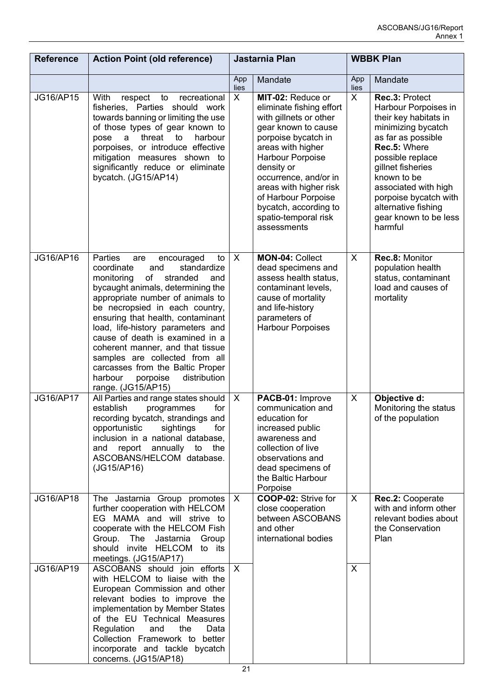| <b>Reference</b> | <b>Action Point (old reference)</b>                                                                                                                                                                                                                                                                                                                                                                                                                                                                          | Jastarnia Plan            |                                                                                                                                                                                                                                                                                                                        | <b>WBBK Plan</b> |                                                                                                                                                                                                                                                                                                 |
|------------------|--------------------------------------------------------------------------------------------------------------------------------------------------------------------------------------------------------------------------------------------------------------------------------------------------------------------------------------------------------------------------------------------------------------------------------------------------------------------------------------------------------------|---------------------------|------------------------------------------------------------------------------------------------------------------------------------------------------------------------------------------------------------------------------------------------------------------------------------------------------------------------|------------------|-------------------------------------------------------------------------------------------------------------------------------------------------------------------------------------------------------------------------------------------------------------------------------------------------|
|                  |                                                                                                                                                                                                                                                                                                                                                                                                                                                                                                              | App<br>lies               | Mandate                                                                                                                                                                                                                                                                                                                | App<br>lies      | Mandate                                                                                                                                                                                                                                                                                         |
| JG16/AP15        | With<br>respect<br>recreational<br>to<br>fisheries, Parties<br>should work<br>towards banning or limiting the use<br>of those types of gear known to<br>threat<br>harbour<br>to<br>pose<br>a<br>porpoises, or introduce effective<br>mitigation measures shown to<br>significantly reduce or eliminate<br>bycatch. (JG15/AP14)                                                                                                                                                                               | $\times$                  | MIT-02: Reduce or<br>eliminate fishing effort<br>with gillnets or other<br>gear known to cause<br>porpoise bycatch in<br>areas with higher<br>Harbour Porpoise<br>density or<br>occurrence, and/or in<br>areas with higher risk<br>of Harbour Porpoise<br>bycatch, according to<br>spatio-temporal risk<br>assessments | X                | Rec.3: Protect<br>Harbour Porpoises in<br>their key habitats in<br>minimizing bycatch<br>as far as possible<br>Rec.5: Where<br>possible replace<br>gillnet fisheries<br>known to be<br>associated with high<br>porpoise bycatch with<br>alternative fishing<br>gear known to be less<br>harmful |
| JG16/AP16        | Parties<br>encouraged<br>to<br>are<br>coordinate<br>and<br>standardize<br>of<br>monitoring<br>stranded<br>and<br>bycaught animals, determining the<br>appropriate number of animals to<br>be necropsied in each country,<br>ensuring that health, contaminant<br>load, life-history parameters and<br>cause of death is examined in a<br>coherent manner, and that tissue<br>samples are collected from all<br>carcasses from the Baltic Proper<br>harbour<br>distribution<br>porpoise<br>range. (JG15/AP15) | $\sf X$                   | MON-04: Collect<br>dead specimens and<br>assess health status,<br>contaminant levels,<br>cause of mortality<br>and life-history<br>parameters of<br><b>Harbour Porpoises</b>                                                                                                                                           | X                | Rec.8: Monitor<br>population health<br>status, contaminant<br>load and causes of<br>mortality                                                                                                                                                                                                   |
| <b>JG16/AP17</b> | All Parties and range states should<br>establish<br>for<br>programmes<br>recording bycatch, strandings and<br>opportunistic<br>sightings<br>for<br>inclusion in a national database,<br>and report annually to the<br>ASCOBANS/HELCOM database.<br>(JG15/AP16)                                                                                                                                                                                                                                               | $\boldsymbol{\mathsf{X}}$ | PACB-01: Improve<br>communication and<br>education for<br>increased public<br>awareness and<br>collection of live<br>observations and<br>dead specimens of<br>the Baltic Harbour<br>Porpoise                                                                                                                           | $\times$         | Objective d:<br>Monitoring the status<br>of the population                                                                                                                                                                                                                                      |
| JG16/AP18        | The Jastarnia Group promotes<br>further cooperation with HELCOM<br>EG MAMA and will strive to<br>cooperate with the HELCOM Fish<br>Group. The Jastarnia Group<br>should invite HELCOM to its<br>meetings. (JG15/AP17)                                                                                                                                                                                                                                                                                        | $\boldsymbol{\mathsf{X}}$ | COOP-02: Strive for<br>close cooperation<br>between ASCOBANS<br>and other<br>international bodies                                                                                                                                                                                                                      | $\sf X$          | Rec.2: Cooperate<br>with and inform other<br>relevant bodies about<br>the Conservation<br>Plan                                                                                                                                                                                                  |
| JG16/AP19        | ASCOBANS should join efforts<br>with HELCOM to liaise with the<br>European Commission and other<br>relevant bodies to improve the<br>implementation by Member States<br>of the EU Technical Measures<br>Regulation<br>and<br>the<br>Data<br>Collection Framework to better<br>incorporate and tackle bycatch<br>concerns. (JG15/AP18)                                                                                                                                                                        | $\sf X$                   |                                                                                                                                                                                                                                                                                                                        | X                |                                                                                                                                                                                                                                                                                                 |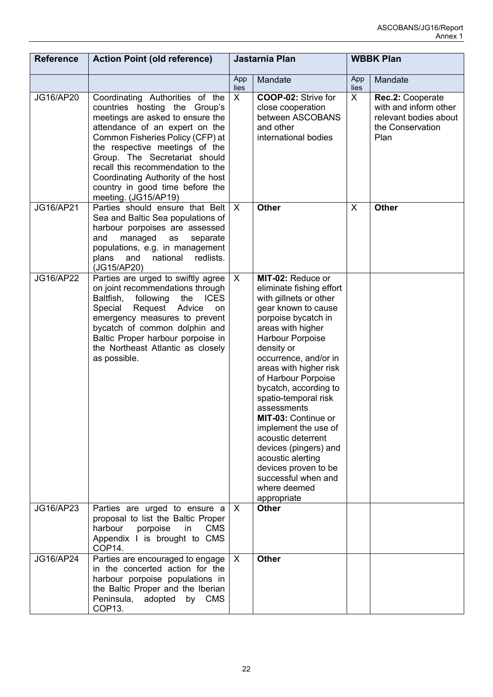| <b>Reference</b> | <b>Action Point (old reference)</b>                                                                                                                                                                                                                                                                                                                                                 | Jastarnia Plan          |                                                                                                                                                                                                                                                                                                                                                                                                                                                                                                                         | <b>WBBK Plan</b> |                                                                                                |
|------------------|-------------------------------------------------------------------------------------------------------------------------------------------------------------------------------------------------------------------------------------------------------------------------------------------------------------------------------------------------------------------------------------|-------------------------|-------------------------------------------------------------------------------------------------------------------------------------------------------------------------------------------------------------------------------------------------------------------------------------------------------------------------------------------------------------------------------------------------------------------------------------------------------------------------------------------------------------------------|------------------|------------------------------------------------------------------------------------------------|
|                  |                                                                                                                                                                                                                                                                                                                                                                                     | App<br>lies             | Mandate                                                                                                                                                                                                                                                                                                                                                                                                                                                                                                                 | App<br>lies      | Mandate                                                                                        |
| JG16/AP20        | Coordinating Authorities of the<br>countries hosting the Group's<br>meetings are asked to ensure the<br>attendance of an expert on the<br>Common Fisheries Policy (CFP) at<br>the respective meetings of the<br>Group. The Secretariat should<br>recall this recommendation to the<br>Coordinating Authority of the host<br>country in good time before the<br>meeting. (JG15/AP19) | $\overline{\mathsf{x}}$ | COOP-02: Strive for<br>close cooperation<br>between ASCOBANS<br>and other<br>international bodies                                                                                                                                                                                                                                                                                                                                                                                                                       | X                | Rec.2: Cooperate<br>with and inform other<br>relevant bodies about<br>the Conservation<br>Plan |
| JG16/AP21        | Parties should ensure that Belt<br>Sea and Baltic Sea populations of<br>harbour porpoises are assessed<br>and<br>managed<br>separate<br>as<br>populations, e.g. in management<br>national<br>redlists.<br>plans<br>and<br>(JG15/AP20)                                                                                                                                               | $\sf X$                 | <b>Other</b>                                                                                                                                                                                                                                                                                                                                                                                                                                                                                                            | X                | <b>Other</b>                                                                                   |
| <b>JG16/AP22</b> | Parties are urged to swiftly agree<br>on joint recommendations through<br>Baltfish,<br>following<br>the<br><b>ICES</b><br>Request<br>Special<br>Advice<br>on<br>emergency measures to prevent<br>bycatch of common dolphin and<br>Baltic Proper harbour porpoise in<br>the Northeast Atlantic as closely<br>as possible.                                                            | $\mathsf{X}$            | MIT-02: Reduce or<br>eliminate fishing effort<br>with gillnets or other<br>gear known to cause<br>porpoise bycatch in<br>areas with higher<br>Harbour Porpoise<br>density or<br>occurrence, and/or in<br>areas with higher risk<br>of Harbour Porpoise<br>bycatch, according to<br>spatio-temporal risk<br>assessments<br>MIT-03: Continue or<br>implement the use of<br>acoustic deterrent<br>devices (pingers) and<br>acoustic alerting<br>devices proven to be<br>successful when and<br>where deemed<br>appropriate |                  |                                                                                                |
| JG16/AP23        | Parties are urged to ensure a<br>proposal to list the Baltic Proper<br>harbour<br>porpoise<br><b>CMS</b><br>in<br>Appendix I is brought to CMS<br>COP14.                                                                                                                                                                                                                            | $\sf X$                 | <b>Other</b>                                                                                                                                                                                                                                                                                                                                                                                                                                                                                                            |                  |                                                                                                |
| JG16/AP24        | Parties are encouraged to engage<br>in the concerted action for the<br>harbour porpoise populations in<br>the Baltic Proper and the Iberian<br>Peninsula,<br>adopted<br>by<br><b>CMS</b><br>COP <sub>13</sub> .                                                                                                                                                                     | $\sf X$                 | <b>Other</b>                                                                                                                                                                                                                                                                                                                                                                                                                                                                                                            |                  |                                                                                                |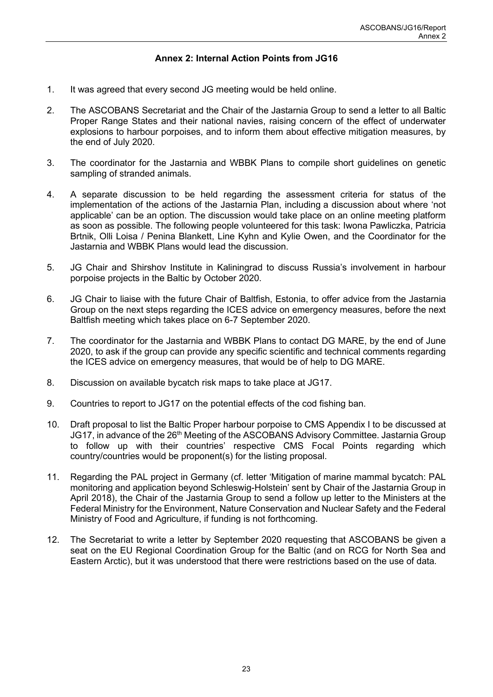# **Annex 2: Internal Action Points from JG16**

- <span id="page-24-0"></span>1. It was agreed that every second JG meeting would be held online.
- 2. The ASCOBANS Secretariat and the Chair of the Jastarnia Group to send a letter to all Baltic Proper Range States and their national navies, raising concern of the effect of underwater explosions to harbour porpoises, and to inform them about effective mitigation measures, by the end of July 2020.
- 3. The coordinator for the Jastarnia and WBBK Plans to compile short guidelines on genetic sampling of stranded animals.
- 4. A separate discussion to be held regarding the assessment criteria for status of the implementation of the actions of the Jastarnia Plan, including a discussion about where 'not applicable' can be an option. The discussion would take place on an online meeting platform as soon as possible. The following people volunteered for this task: Iwona Pawliczka, Patricia Brtnik, Olli Loisa / Penina Blankett, Line Kyhn and Kylie Owen, and the Coordinator for the Jastarnia and WBBK Plans would lead the discussion.
- 5. JG Chair and Shirshov Institute in Kaliningrad to discuss Russia's involvement in harbour porpoise projects in the Baltic by October 2020.
- 6. JG Chair to liaise with the future Chair of Baltfish, Estonia, to offer advice from the Jastarnia Group on the next steps regarding the ICES advice on emergency measures, before the next Baltfish meeting which takes place on 6-7 September 2020.
- 7. The coordinator for the Jastarnia and WBBK Plans to contact DG MARE, by the end of June 2020, to ask if the group can provide any specific scientific and technical comments regarding the ICES advice on emergency measures, that would be of help to DG MARE.
- 8. Discussion on available bycatch risk maps to take place at JG17.
- 9. Countries to report to JG17 on the potential effects of the cod fishing ban.
- 10. Draft proposal to list the Baltic Proper harbour porpoise to CMS Appendix I to be discussed at JG17, in advance of the 26<sup>th</sup> Meeting of the ASCOBANS Advisory Committee. Jastarnia Group to follow up with their countries' respective CMS Focal Points regarding which country/countries would be proponent(s) for the listing proposal.
- 11. Regarding the PAL project in Germany (cf. letter 'Mitigation of marine mammal bycatch: PAL monitoring and application beyond Schleswig-Holstein' sent by Chair of the Jastarnia Group in April 2018), the Chair of the Jastarnia Group to send a follow up letter to the Ministers at the Federal Ministry for the Environment, Nature Conservation and Nuclear Safety and the Federal Ministry of Food and Agriculture, if funding is not forthcoming.
- 12. The Secretariat to write a letter by September 2020 requesting that ASCOBANS be given a seat on the EU Regional Coordination Group for the Baltic (and on RCG for North Sea and Eastern Arctic), but it was understood that there were restrictions based on the use of data.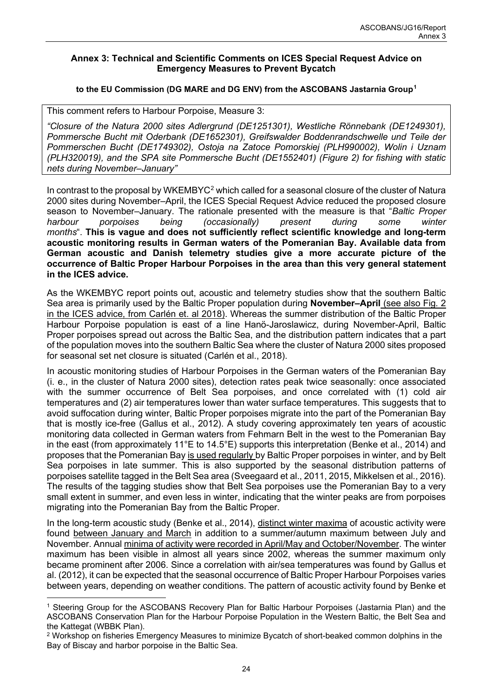#### **Annex 3: Technical and Scientific Comments on ICES Special Request Advice on Emergency Measures to Prevent Bycatch**

#### **to the EU Commission (DG MARE and DG ENV) from the ASCOBANS Jastarnia Group[1](#page-25-0)**

This comment refers to Harbour Porpoise, Measure 3:

*"Closure of the Natura 2000 sites Adlergrund (DE1251301), Westliche Rönnebank (DE1249301), Pommersche Bucht mit Oderbank (DE1652301), Greifswalder Boddenrandschwelle und Teile der Pommerschen Bucht (DE1749302), Ostoja na Zatoce Pomorskiej (PLH990002), Wolin i Uznam (PLH320019), and the SPA site Pommersche Bucht (DE1552401) (Figure 2) for fishing with static nets during November–January"*

In contrast to the proposal by WKEMBYC<sup>[2](#page-25-1)</sup> which called for a seasonal closure of the cluster of Natura 2000 sites during November–April, the ICES Special Request Advice reduced the proposed closure season to November–January. The rationale presented with the measure is that "*Baltic Proper harbour porpoises being (occasionally) present during some winter months*". **This is vague and does not sufficiently reflect scientific knowledge and long-term acoustic monitoring results in German waters of the Pomeranian Bay. Available data from German acoustic and Danish telemetry studies give a more accurate picture of the occurrence of Baltic Proper Harbour Porpoises in the area than this very general statement in the ICES advice.**

As the WKEMBYC report points out, acoustic and telemetry studies show that the southern Baltic Sea area is primarily used by the Baltic Proper population during **November–April** (see also Fig. 2 in the ICES advice, from Carlén et. al 2018). Whereas the summer distribution of the Baltic Proper Harbour Porpoise population is east of a line Hanö-Jaroslawicz, during November-April, Baltic Proper porpoises spread out across the Baltic Sea, and the distribution pattern indicates that a part of the population moves into the southern Baltic Sea where the cluster of Natura 2000 sites proposed for seasonal set net closure is situated (Carlén et al., 2018).

In acoustic monitoring studies of Harbour Porpoises in the German waters of the Pomeranian Bay (i. e., in the cluster of Natura 2000 sites), detection rates peak twice seasonally: once associated with the summer occurrence of Belt Sea porpoises, and once correlated with (1) cold air temperatures and (2) air temperatures lower than water surface temperatures. This suggests that to avoid suffocation during winter, Baltic Proper porpoises migrate into the part of the Pomeranian Bay that is mostly ice-free (Gallus et al., 2012). A study covering approximately ten years of acoustic monitoring data collected in German waters from Fehmarn Belt in the west to the Pomeranian Bay in the east (from approximately 11°E to 14.5°E) supports this interpretation (Benke et al., 2014) and proposes that the Pomeranian Bay is used regularly by Baltic Proper porpoises in winter, and by Belt Sea porpoises in late summer. This is also supported by the seasonal distribution patterns of porpoises satellite tagged in the Belt Sea area (Sveegaard et al., 2011, 2015, Mikkelsen et al., 2016). The results of the tagging studies show that Belt Sea porpoises use the Pomeranian Bay to a very small extent in summer, and even less in winter, indicating that the winter peaks are from porpoises migrating into the Pomeranian Bay from the Baltic Proper.

In the long-term acoustic study (Benke et al., 2014), distinct winter maxima of acoustic activity were found between January and March in addition to a summer/autumn maximum between July and November. Annual minima of activity were recorded in April/May and October/November. The winter maximum has been visible in almost all years since 2002, whereas the summer maximum only became prominent after 2006. Since a correlation with air/sea temperatures was found by Gallus et al. (2012), it can be expected that the seasonal occurrence of Baltic Proper Harbour Porpoises varies between years, depending on weather conditions. The pattern of acoustic activity found by Benke et

<span id="page-25-0"></span><sup>1</sup> Steering Group for the ASCOBANS Recovery Plan for Baltic Harbour Porpoises (Jastarnia Plan) and the ASCOBANS Conservation Plan for the Harbour Porpoise Population in the Western Baltic, the Belt Sea and the Kattegat (WBBK Plan).

<span id="page-25-1"></span><sup>&</sup>lt;sup>2</sup> Workshop on fisheries Emergency Measures to minimize Bycatch of short-beaked common dolphins in the Bay of Biscay and harbor porpoise in the Baltic Sea.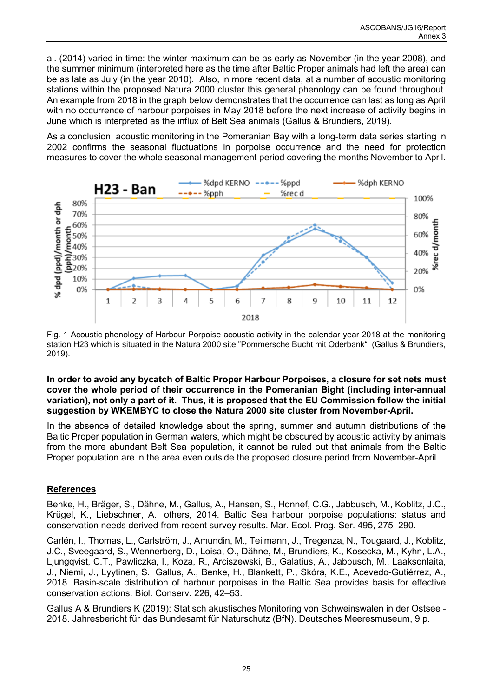al. (2014) varied in time: the winter maximum can be as early as November (in the year 2008), and the summer minimum (interpreted here as the time after Baltic Proper animals had left the area) can be as late as July (in the year 2010). Also, in more recent data, at a number of acoustic monitoring stations within the proposed Natura 2000 cluster this general phenology can be found throughout. An example from 2018 in the graph below demonstrates that the occurrence can last as long as April with no occurrence of harbour porpoises in May 2018 before the next increase of activity begins in June which is interpreted as the influx of Belt Sea animals (Gallus & Brundiers, 2019).

As a conclusion, acoustic monitoring in the Pomeranian Bay with a long-term data series starting in 2002 confirms the seasonal fluctuations in porpoise occurrence and the need for protection measures to cover the whole seasonal management period covering the months November to April.



Fig. 1 Acoustic phenology of Harbour Porpoise acoustic activity in the calendar year 2018 at the monitoring station H23 which is situated in the Natura 2000 site "Pommersche Bucht mit Oderbank" (Gallus & Brundiers, 2019).

#### **In order to avoid any bycatch of Baltic Proper Harbour Porpoises, a closure for set nets must cover the whole period of their occurrence in the Pomeranian Bight (including inter-annual variation), not only a part of it. Thus, it is proposed that the EU Commission follow the initial suggestion by WKEMBYC to close the Natura 2000 site cluster from November-April.**

In the absence of detailed knowledge about the spring, summer and autumn distributions of the Baltic Proper population in German waters, which might be obscured by acoustic activity by animals from the more abundant Belt Sea population, it cannot be ruled out that animals from the Baltic Proper population are in the area even outside the proposed closure period from November-April.

# **References**

Benke, H., Bräger, S., Dähne, M., Gallus, A., Hansen, S., Honnef, C.G., Jabbusch, M., Koblitz, J.C., Krügel, K., Liebschner, A., others, 2014. Baltic Sea harbour porpoise populations: status and conservation needs derived from recent survey results. Mar. Ecol. Prog. Ser. 495, 275–290.

Carlén, I., Thomas, L., Carlström, J., Amundin, M., Teilmann, J., Tregenza, N., Tougaard, J., Koblitz, J.C., Sveegaard, S., Wennerberg, D., Loisa, O., Dähne, M., Brundiers, K., Kosecka, M., Kyhn, L.A., Ljungqvist, C.T., Pawliczka, I., Koza, R., Arciszewski, B., Galatius, A., Jabbusch, M., Laaksonlaita, J., Niemi, J., Lyytinen, S., Gallus, A., Benke, H., Blankett, P., Skóra, K.E., Acevedo-Gutiérrez, A., 2018. Basin-scale distribution of harbour porpoises in the Baltic Sea provides basis for effective conservation actions. Biol. Conserv. 226, 42–53.

Gallus A & Brundiers K (2019): Statisch akustisches Monitoring von Schweinswalen in der Ostsee - 2018. Jahresbericht für das Bundesamt für Naturschutz (BfN). Deutsches Meeresmuseum, 9 p.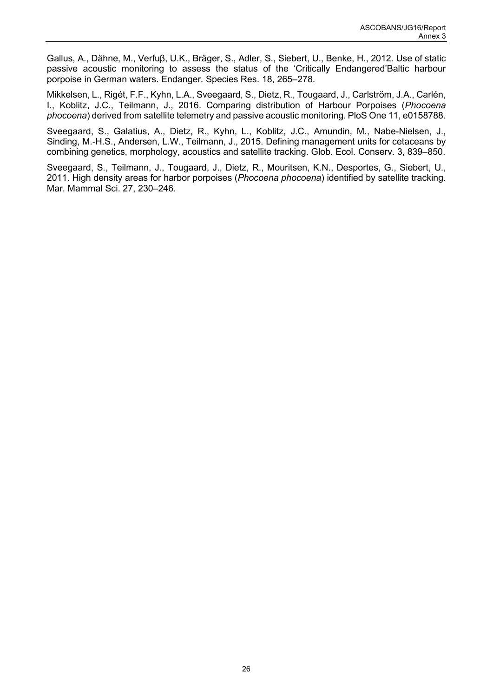Gallus, A., Dähne, M., Verfuβ, U.K., Bräger, S., Adler, S., Siebert, U., Benke, H., 2012. Use of static passive acoustic monitoring to assess the status of the 'Critically Endangered'Baltic harbour porpoise in German waters. Endanger. Species Res. 18, 265–278.

Mikkelsen, L., Rigét, F.F., Kyhn, L.A., Sveegaard, S., Dietz, R., Tougaard, J., Carlström, J.A., Carlén, I., Koblitz, J.C., Teilmann, J., 2016. Comparing distribution of Harbour Porpoises (*Phocoena phocoena*) derived from satellite telemetry and passive acoustic monitoring. PloS One 11, e0158788.

Sveegaard, S., Galatius, A., Dietz, R., Kyhn, L., Koblitz, J.C., Amundin, M., Nabe-Nielsen, J., Sinding, M.-H.S., Andersen, L.W., Teilmann, J., 2015. Defining management units for cetaceans by combining genetics, morphology, acoustics and satellite tracking. Glob. Ecol. Conserv. 3, 839–850.

Sveegaard, S., Teilmann, J., Tougaard, J., Dietz, R., Mouritsen, K.N., Desportes, G., Siebert, U., 2011. High density areas for harbor porpoises (*Phocoena phocoena*) identified by satellite tracking. Mar. Mammal Sci. 27, 230–246.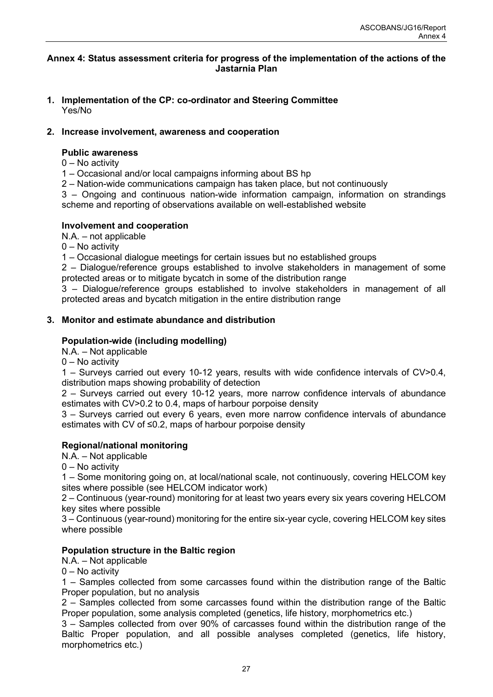#### <span id="page-28-0"></span>**Annex 4: Status assessment criteria for progress of the implementation of the actions of the Jastarnia Plan**

**1. Implementation of the CP: co-ordinator and Steering Committee** Yes/No

# **2. Increase involvement, awareness and cooperation**

# **Public awareness**

- 0 No activity
- 1 Occasional and/or local campaigns informing about BS hp
- 2 Nation-wide communications campaign has taken place, but not continuously

3 – Ongoing and continuous nation-wide information campaign, information on strandings scheme and reporting of observations available on well-established website

# **Involvement and cooperation**

N.A. – not applicable

 $0 - No$  activity

1 – Occasional dialogue meetings for certain issues but no established groups

2 – Dialogue/reference groups established to involve stakeholders in management of some protected areas or to mitigate bycatch in some of the distribution range

3 – Dialogue/reference groups established to involve stakeholders in management of all protected areas and bycatch mitigation in the entire distribution range

# **3. Monitor and estimate abundance and distribution**

# **Population-wide (including modelling)**

N.A. – Not applicable

0 – No activity

1 – Surveys carried out every 10-12 years, results with wide confidence intervals of CV>0.4, distribution maps showing probability of detection

2 – Surveys carried out every 10-12 years, more narrow confidence intervals of abundance estimates with CV>0.2 to 0.4, maps of harbour porpoise density

3 – Surveys carried out every 6 years, even more narrow confidence intervals of abundance estimates with CV of ≤0.2, maps of harbour porpoise density

# **Regional/national monitoring**

N.A. – Not applicable

0 – No activity

1 – Some monitoring going on, at local/national scale, not continuously, covering HELCOM key sites where possible (see HELCOM indicator work)

2 – Continuous (year-round) monitoring for at least two years every six years covering HELCOM key sites where possible

3 – Continuous (year-round) monitoring for the entire six-year cycle, covering HELCOM key sites where possible

# **Population structure in the Baltic region**

N.A. – Not applicable

 $0 - No$  activity

1 – Samples collected from some carcasses found within the distribution range of the Baltic Proper population, but no analysis

2 – Samples collected from some carcasses found within the distribution range of the Baltic Proper population, some analysis completed (genetics, life history, morphometrics etc.)

3 – Samples collected from over 90% of carcasses found within the distribution range of the Baltic Proper population, and all possible analyses completed (genetics, life history, morphometrics etc.)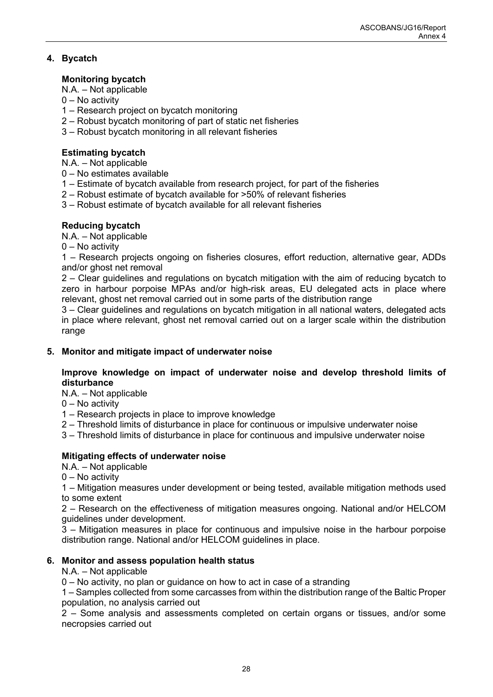# **4. Bycatch**

# **Monitoring bycatch**

N.A. – Not applicable

- $0 No$  activity
- 1 Research project on bycatch monitoring
- 2 Robust bycatch monitoring of part of static net fisheries
- 3 Robust bycatch monitoring in all relevant fisheries

# **Estimating bycatch**

N.A. – Not applicable

- 0 No estimates available
- 1 Estimate of bycatch available from research project, for part of the fisheries
- 2 Robust estimate of bycatch available for >50% of relevant fisheries
- 3 Robust estimate of bycatch available for all relevant fisheries

# **Reducing bycatch**

N.A. – Not applicable

0 – No activity

1 – Research projects ongoing on fisheries closures, effort reduction, alternative gear, ADDs and/or ghost net removal

2 – Clear guidelines and regulations on bycatch mitigation with the aim of reducing bycatch to zero in harbour porpoise MPAs and/or high-risk areas, EU delegated acts in place where relevant, ghost net removal carried out in some parts of the distribution range

3 – Clear guidelines and regulations on bycatch mitigation in all national waters, delegated acts in place where relevant, ghost net removal carried out on a larger scale within the distribution range

# **5. Monitor and mitigate impact of underwater noise**

# **Improve knowledge on impact of underwater noise and develop threshold limits of disturbance**

N.A. – Not applicable

- 0 No activity
- 1 Research projects in place to improve knowledge
- 2 Threshold limits of disturbance in place for continuous or impulsive underwater noise
- 3 Threshold limits of disturbance in place for continuous and impulsive underwater noise

# **Mitigating effects of underwater noise**

N.A. – Not applicable

0 – No activity

1 – Mitigation measures under development or being tested, available mitigation methods used to some extent

2 – Research on the effectiveness of mitigation measures ongoing. National and/or HELCOM guidelines under development.

3 – Mitigation measures in place for continuous and impulsive noise in the harbour porpoise distribution range. National and/or HELCOM guidelines in place.

# **6. Monitor and assess population health status**

# N.A. – Not applicable

0 – No activity, no plan or guidance on how to act in case of a stranding

1 – Samples collected from some carcasses from within the distribution range of the Baltic Proper population, no analysis carried out

2 – Some analysis and assessments completed on certain organs or tissues, and/or some necropsies carried out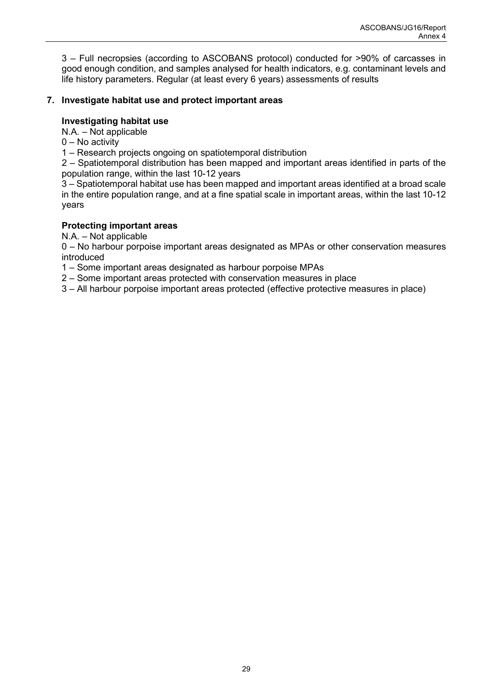3 – Full necropsies (according to ASCOBANS protocol) conducted for >90% of carcasses in good enough condition, and samples analysed for health indicators, e.g. contaminant levels and life history parameters. Regular (at least every 6 years) assessments of results

# **7. Investigate habitat use and protect important areas**

# **Investigating habitat use**

N.A. – Not applicable

0 – No activity

1 – Research projects ongoing on spatiotemporal distribution

2 – Spatiotemporal distribution has been mapped and important areas identified in parts of the population range, within the last 10-12 years

3 – Spatiotemporal habitat use has been mapped and important areas identified at a broad scale in the entire population range, and at a fine spatial scale in important areas, within the last 10-12 years

# **Protecting important areas**

N.A. – Not applicable

0 – No harbour porpoise important areas designated as MPAs or other conservation measures introduced

1 – Some important areas designated as harbour porpoise MPAs

2 – Some important areas protected with conservation measures in place

3 – All harbour porpoise important areas protected (effective protective measures in place)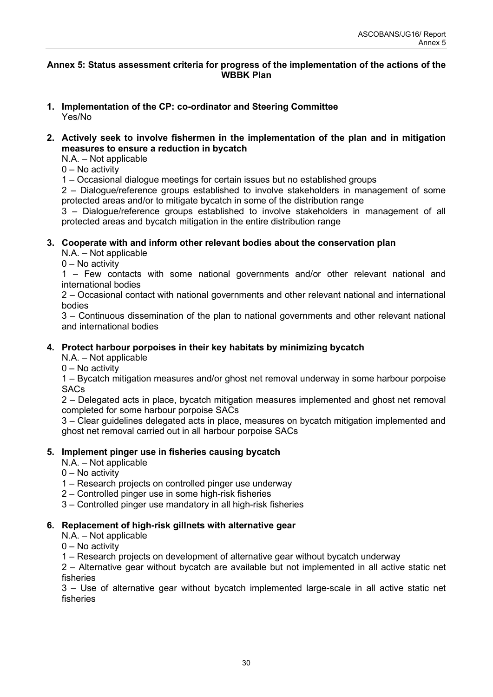### <span id="page-31-0"></span>**Annex 5: Status assessment criteria for progress of the implementation of the actions of the WBBK Plan**

#### **1. Implementation of the CP: co-ordinator and Steering Committee** Yes/No

# **2. Actively seek to involve fishermen in the implementation of the plan and in mitigation measures to ensure a reduction in bycatch**

N.A. – Not applicable

 $0 - No$  activity

1 – Occasional dialogue meetings for certain issues but no established groups

2 – Dialogue/reference groups established to involve stakeholders in management of some protected areas and/or to mitigate bycatch in some of the distribution range

3 – Dialogue/reference groups established to involve stakeholders in management of all protected areas and bycatch mitigation in the entire distribution range

# **3. Cooperate with and inform other relevant bodies about the conservation plan**

N.A. – Not applicable

 $0 - No$  activity

1 – Few contacts with some national governments and/or other relevant national and international bodies

2 – Occasional contact with national governments and other relevant national and international bodies

3 – Continuous dissemination of the plan to national governments and other relevant national and international bodies

# **4. Protect harbour porpoises in their key habitats by minimizing bycatch**

N.A. – Not applicable

0 – No activity

1 – Bycatch mitigation measures and/or ghost net removal underway in some harbour porpoise **SACs** 

2 – Delegated acts in place, bycatch mitigation measures implemented and ghost net removal completed for some harbour porpoise SACs

3 – Clear guidelines delegated acts in place, measures on bycatch mitigation implemented and ghost net removal carried out in all harbour porpoise SACs

# **5. Implement pinger use in fisheries causing bycatch**

N.A. – Not applicable

0 – No activity

- 1 Research projects on controlled pinger use underway
- 2 Controlled pinger use in some high-risk fisheries
- 3 Controlled pinger use mandatory in all high-risk fisheries

# **6. Replacement of high-risk gillnets with alternative gear**

N.A. – Not applicable

0 – No activity

1 – Research projects on development of alternative gear without bycatch underway

2 – Alternative gear without bycatch are available but not implemented in all active static net fisheries

3 – Use of alternative gear without bycatch implemented large-scale in all active static net fisheries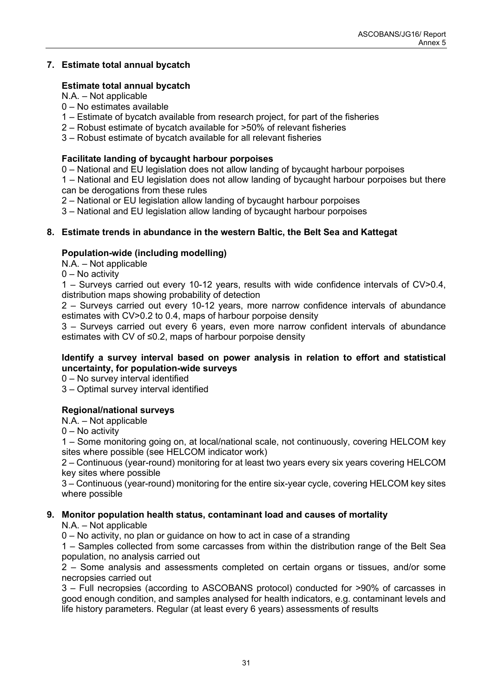# **7. Estimate total annual bycatch**

# **Estimate total annual bycatch**

N.A. – Not applicable

- 0 No estimates available
- 1 Estimate of bycatch available from research project, for part of the fisheries
- 2 Robust estimate of bycatch available for >50% of relevant fisheries
- 3 Robust estimate of bycatch available for all relevant fisheries

# **Facilitate landing of bycaught harbour porpoises**

0 – National and EU legislation does not allow landing of bycaught harbour porpoises

1 – National and EU legislation does not allow landing of bycaught harbour porpoises but there can be derogations from these rules

2 – National or EU legislation allow landing of bycaught harbour porpoises

3 – National and EU legislation allow landing of bycaught harbour porpoises

# **8. Estimate trends in abundance in the western Baltic, the Belt Sea and Kattegat**

# **Population-wide (including modelling)**

N.A. – Not applicable

0 – No activity

1 – Surveys carried out every 10-12 years, results with wide confidence intervals of CV>0.4, distribution maps showing probability of detection

2 – Surveys carried out every 10-12 years, more narrow confidence intervals of abundance estimates with CV>0.2 to 0.4, maps of harbour porpoise density

3 – Surveys carried out every 6 years, even more narrow confident intervals of abundance estimates with CV of ≤0.2, maps of harbour porpoise density

# **Identify a survey interval based on power analysis in relation to effort and statistical uncertainty, for population-wide surveys**

0 – No survey interval identified

3 – Optimal survey interval identified

# **Regional/national surveys**

N.A. – Not applicable

0 – No activity

1 – Some monitoring going on, at local/national scale, not continuously, covering HELCOM key sites where possible (see HELCOM indicator work)

2 – Continuous (year-round) monitoring for at least two years every six years covering HELCOM key sites where possible

3 – Continuous (year-round) monitoring for the entire six-year cycle, covering HELCOM key sites where possible

# **9. Monitor population health status, contaminant load and causes of mortality**

N.A. – Not applicable

0 – No activity, no plan or guidance on how to act in case of a stranding

1 – Samples collected from some carcasses from within the distribution range of the Belt Sea population, no analysis carried out

2 – Some analysis and assessments completed on certain organs or tissues, and/or some necropsies carried out

3 – Full necropsies (according to ASCOBANS protocol) conducted for >90% of carcasses in good enough condition, and samples analysed for health indicators, e.g. contaminant levels and life history parameters. Regular (at least every 6 years) assessments of results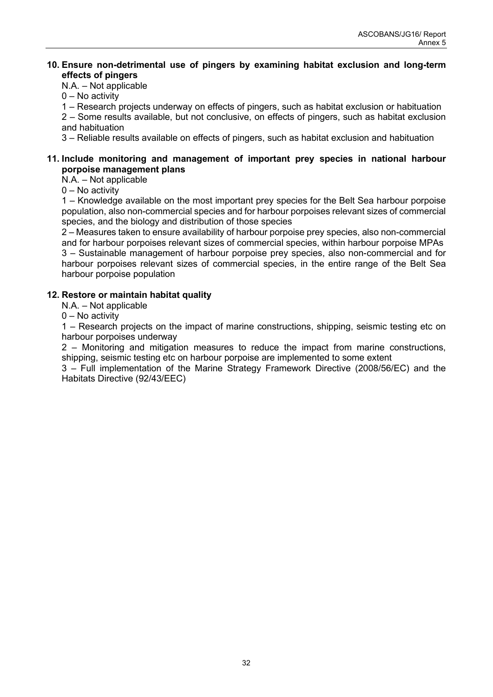# **10. Ensure non-detrimental use of pingers by examining habitat exclusion and long-term effects of pingers**

# N.A. – Not applicable

0 – No activity

1 – Research projects underway on effects of pingers, such as habitat exclusion or habituation 2 – Some results available, but not conclusive, on effects of pingers, such as habitat exclusion and habituation

3 – Reliable results available on effects of pingers, such as habitat exclusion and habituation

# **11. Include monitoring and management of important prey species in national harbour porpoise management plans**

N.A. – Not applicable

0 – No activity

1 – Knowledge available on the most important prey species for the Belt Sea harbour porpoise population, also non-commercial species and for harbour porpoises relevant sizes of commercial species, and the biology and distribution of those species

2 – Measures taken to ensure availability of harbour porpoise prey species, also non-commercial and for harbour porpoises relevant sizes of commercial species, within harbour porpoise MPAs 3 – Sustainable management of harbour porpoise prey species, also non-commercial and for harbour porpoises relevant sizes of commercial species, in the entire range of the Belt Sea harbour porpoise population

# **12. Restore or maintain habitat quality**

N.A. – Not applicable

0 – No activity

1 – Research projects on the impact of marine constructions, shipping, seismic testing etc on harbour porpoises underway

2 – Monitoring and mitigation measures to reduce the impact from marine constructions, shipping, seismic testing etc on harbour porpoise are implemented to some extent

3 – Full implementation of the Marine Strategy Framework Directive (2008/56/EC) and the Habitats Directive (92/43/EEC)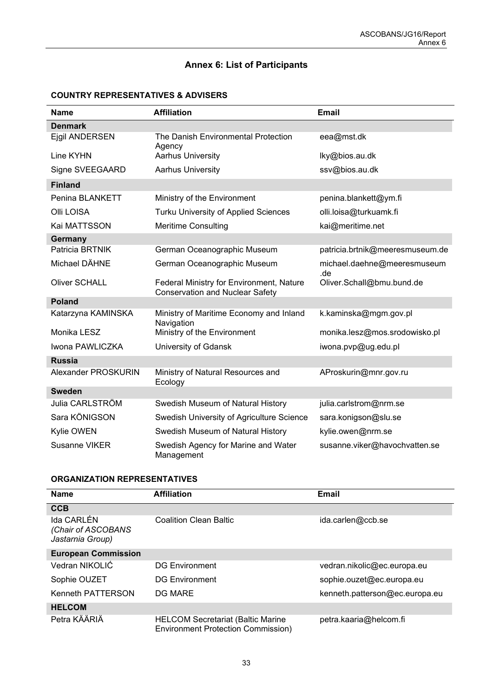# **Annex 6: List of Participants**

### <span id="page-34-0"></span>**COUNTRY REPRESENTATIVES & ADVISERS**

| <b>Name</b>          | <b>Affiliation</b>                                                                 | <b>Email</b>                       |
|----------------------|------------------------------------------------------------------------------------|------------------------------------|
| <b>Denmark</b>       |                                                                                    |                                    |
| Ejgil ANDERSEN       | The Danish Environmental Protection<br>Agency                                      | eea@mst.dk                         |
| Line KYHN            | <b>Aarhus University</b>                                                           | lky@bios.au.dk                     |
| Signe SVEEGAARD      | <b>Aarhus University</b>                                                           | ssv@bios.au.dk                     |
| <b>Finland</b>       |                                                                                    |                                    |
| Penina BLANKETT      | Ministry of the Environment                                                        | penina.blankett@ym.fi              |
| Olli LOISA           | <b>Turku University of Applied Sciences</b>                                        | olli.loisa@turkuamk.fi             |
| Kai MATTSSON         | <b>Meritime Consulting</b>                                                         | kai@meritime.net                   |
| Germany              |                                                                                    |                                    |
| Patricia BRTNIK      | German Oceanographic Museum                                                        | patricia.brtnik@meeresmuseum.de    |
| Michael DÄHNE        | German Oceanographic Museum                                                        | michael.daehne@meeresmuseum<br>.de |
| <b>Oliver SCHALL</b> | Federal Ministry for Environment, Nature<br><b>Conservation and Nuclear Safety</b> | Oliver.Schall@bmu.bund.de          |
| <b>Poland</b>        |                                                                                    |                                    |
| Katarzyna KAMINSKA   | Ministry of Maritime Economy and Inland<br>Navigation                              | k.kaminska@mgm.gov.pl              |
| Monika LESZ          | Ministry of the Environment                                                        | monika.lesz@mos.srodowisko.pl      |
| Iwona PAWLICZKA      | University of Gdansk                                                               | iwona.pvp@ug.edu.pl                |
| <b>Russia</b>        |                                                                                    |                                    |
| Alexander PROSKURIN  | Ministry of Natural Resources and<br>Ecology                                       | AProskurin@mnr.gov.ru              |
| <b>Sweden</b>        |                                                                                    |                                    |
| Julia CARLSTRÖM      | Swedish Museum of Natural History                                                  | julia.carlstrom@nrm.se             |
| Sara KÖNIGSON        | Swedish University of Agriculture Science                                          | sara.konigson@slu.se               |
| Kylie OWEN           | Swedish Museum of Natural History                                                  | kylie.owen@nrm.se                  |
| <b>Susanne VIKER</b> | Swedish Agency for Marine and Water<br>Management                                  | susanne.viker@havochvatten.se      |

#### **ORGANIZATION REPRESENTATIVES**

| <b>Name</b>                                          | <b>Affiliation</b>                                                                    | Email                          |
|------------------------------------------------------|---------------------------------------------------------------------------------------|--------------------------------|
| <b>CCB</b>                                           |                                                                                       |                                |
| Ida CARLÉN<br>(Chair of ASCOBANS<br>Jastarnia Group) | <b>Coalition Clean Baltic</b>                                                         | ida.carlen@ccb.se              |
| <b>European Commission</b>                           |                                                                                       |                                |
| Vedran NIKOLIĆ                                       | <b>DG Environment</b>                                                                 | vedran.nikolic@ec.europa.eu    |
| Sophie OUZET                                         | <b>DG Environment</b>                                                                 | sophie.ouzet@ec.europa.eu      |
| Kenneth PATTERSON                                    | <b>DG MARE</b>                                                                        | kenneth.patterson@ec.europa.eu |
| <b>HELCOM</b>                                        |                                                                                       |                                |
| Petra KÄÄRIÄ                                         | <b>HELCOM Secretariat (Baltic Marine</b><br><b>Environment Protection Commission)</b> | petra.kaaria@helcom.fi         |